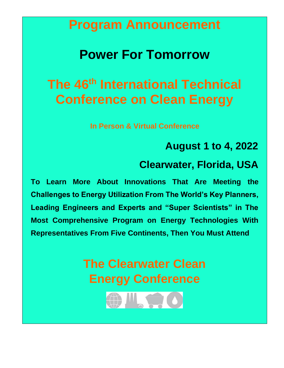## **Program Announcement**

## **Power For Tomorrow**

# **The 46th International Technical Conference on Clean Energy**

**In Person & Virtual Conference**

## **August 1 to 4, 2022**

## **Clearwater, Florida, USA**

**To Learn More About Innovations That Are Meeting the Challenges to Energy Utilization From The World's Key Planners, Leading Engineers and Experts and "Super Scientists" in The Most Comprehensive Program on Energy Technologies With Representatives From Five Continents, Then You Must Attend**

> **The Clearwater Clean Energy Conference**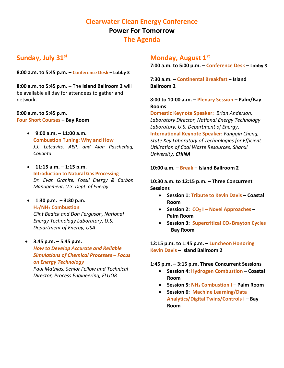## **Clearwater Clean Energy Conference Power For Tomorrow The Agenda**

## **Sunday, July 31st**

**8:00 a.m. to 5:45 p.m. – Conference Desk – Lobby 3**

**8:00 a.m. to 5:45 p.m. –** The **Island Ballroom 2** will be available all day for attendees to gather and network.

#### **9:00 a.m. to 5:45 p.m.**

**Four Short Courses – Bay Room**

- **9:00 a.m. – 11:00 a.m. Combustion Tuning: Why and How** *J.J. Letcavits, AEP, and Alan Paschedag, Covanta*
- **11:15 a.m. – 1:15 p.m. Introduction to Natural Gas Processing** *Dr. Evan Granite, Fossil Energy & Carbon Management, U.S. Dept. of Energy*
- **1:30 p.m. – 3:30 p.m. H2/NH<sup>3</sup> Combustion**

*Clint Bedick and Don Ferguson, National Energy Technology Laboratory, U.S. Department of Energy, USA*

• **3:45 p.m. – 5:45 p.m.** *How to Develop Accurate and Reliable Simulations of Chemical Processes – Focus on Energy Technology*

*Paul Mathias, Senior Fellow and Technical Director, Process Engineering, FLUOR*

## **Monday, August 1st**

**7:00 a.m. to 5:00 p.m. – Conference Desk – Lobby 3**

**7:30 a.m. – Continental Breakfast – Island Ballroom 2**

#### **8:00 to 10:00 a.m. – Plenary Session – Palm/Bay Rooms**

**Domestic Keynote Speaker:** *Brian Anderson, Laboratory Director, National Energy Technology Laboratory, U.S. Department of Energy.* **International Keynote Speaker:** *Fangqin Cheng, State Key Laboratory of Technologies for Efficient Utilization of Coal Waste Resources, Shanxi University, CHINA*

#### **10:00 a.m. – Break – Island Ballroom 2**

#### **10:30 a.m. to 12:15 p.m. – Three Concurrent Sessions**

- **Session 1: Tribute to Kevin Davis – Coastal Room**
- **Session 2: CO<sup>2</sup> I – Novel Approaches – Palm Room**
- **Session 3: Supercritical CO2 Brayton Cycles – Bay Room**

**12:15 p.m. to 1:45 p.m. – Luncheon Honoring Kevin Davis – Island Ballroom 2**

#### **1:45 p.m. – 3:15 p.m. Three Concurrent Sessions**

- **Session 4: Hydrogen Combustion – Coastal Room**
- **Session 5: NH<sup>3</sup> Combustion I – Palm Room**
- **Session 6: Machine Learning/Data Analytics/Digital Twins/Controls I – Bay Room**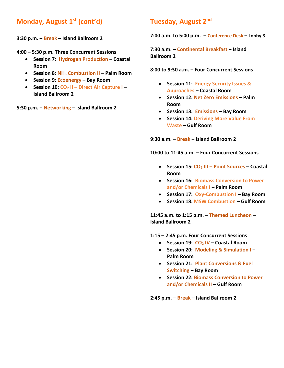## **Monday, August 1st (cont'd)**

**3:30 p.m. – Break – Island Ballroom 2**

**4:00 – 5:30 p.m. Three Concurrent Sessions**

- **Session 7: Hydrogen Production – Coastal Room**
- **Session 8: NH<sup>3</sup> Combustion II – Palm Room**
- **Session 9: Ecoenergy – Bay Room**
- **Session 10: CO<sup>2</sup> II – Direct Air Capture I – Island Ballroom 2**

**5:30 p.m. – Networking – Island Ballroom 2**

### **Tuesday, August 2nd**

**7:00 a.m. to 5:00 p.m. – Conference Desk – Lobby 3**

**7:30 a.m. – Continental Breakfast – Island Ballroom 2**

**8:00 to 9:30 a.m. – Four Concurrent Sessions**

- **Session 11: Energy Security Issues & Approaches – Coastal Room**
- **Session 12: Net Zero Emissions – Palm Room**
- **Session 13: Emissions – Bay Room**
- **Session 14: Deriving More Value From Waste – Gulf Room**

**9:30 a.m. – Break – Island Ballroom 2**

**10:00 to 11:45 a.m. – Four Concurrent Sessions**

- **Session 15: CO<sup>2</sup> III – Point Sources – Coastal Room**
- **Session 16: Biomass Conversion to Power and/or Chemicals I – Palm Room**
- **Session 17: Oxy-Combustion I – Bay Room**
- **Session 18: MSW Combustion – Gulf Room**

**11:45 a.m. to 1:15 p.m. – Themed Luncheon – Island Ballroom 2**

**1:15 – 2:45 p.m. Four Concurrent Sessions**

- **Session 19: CO<sup>2</sup> IV – Coastal Room**
- **Session 20: Modeling & Simulation I – Palm Room**
- **Session 21: Plant Conversions & Fuel Switching – Bay Room**
- **Session 22: Biomass Conversion to Power and/or Chemicals II – Gulf Room**

**2:45 p.m. – Break – Island Ballroom 2**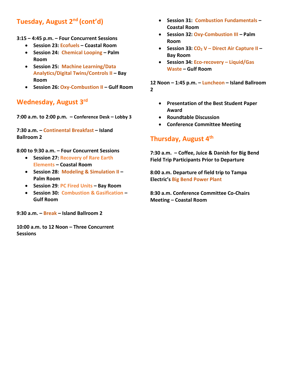## **Tuesday, August 2nd (cont'd)**

- **3:15 – 4:45 p.m. – Four Concurrent Sessions**
	- **Session 23: Ecofuels – Coastal Room**
	- **Session 24: Chemical Looping – Palm Room**
	- **Session 25: Machine Learning/Data Analytics/Digital Twins/Controls II – Bay Room**
	- **Session 26: Oxy-Combustion II – Gulf Room**

## **Wednesday, August 3rd**

**7:00 a.m. to 2:00 p.m. – Conference Desk – Lobby 3**

**7:30 a.m. – Continental Breakfast – Island Ballroom 2**

**8:00 to 9:30 a.m. – Four Concurrent Sessions**

- **Session 27: Recovery of Rare Earth Elements – Coastal Room**
- **Session 28: Modeling & Simulation II – Palm Room**
- **Session 29**: **PC Fired Units – Bay Room**
- **Session 30: Combustion & Gasification – Gulf Room**

**9:30 a.m. – Break – Island Ballroom 2**

**10:00 a.m. to 12 Noon – Three Concurrent Sessions**

- **Session 31: Combustion Fundamentals – Coastal Room**
- **Session 32: Oxy-Combustion III – Palm Room**
- **Session 33: CO<sup>2</sup> V – Direct Air Capture II – Bay Room**
- **Session 34: Eco-recovery – Liquid/Gas Waste – Gulf Room**

**12 Noon – 1:45 p.m. – Luncheon – Island Ballroom 2**

- **Presentation of the Best Student Paper Award**
- **Roundtable Discussion**
- **Conference Committee Meeting**

## **Thursday, August 4th**

**7:30 a.m. – Coffee, Juice & Danish for Big Bend Field Trip Participants Prior to Departure**

**8:00 a.m. Departure of field trip to Tampa Electric's Big Bend Power Plant**

**8:30 a.m. Conference Committee Co-Chairs Meeting – Coastal Room**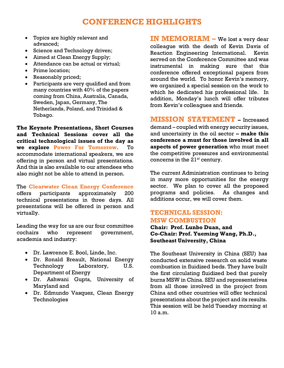## **CONFERENCE HIGHLIGHTS**

- Topics are highly relevant and advanced;
- Science and Technology driven;
- Aimed at Clean Energy Supply;
- Attendance can be actual or virtual;
- Prime location;
- Reasonably priced;
- Participants are very qualified and from many countries with 40% of the papers coming from China, Australia, Canada, Sweden, Japan, Germany, The Netherlands, Poland, and Trinidad & Tobago.

**The Keynote Presentations, Short Courses and Technical Sessions cover all the critical technological issues of the day as we explore Power For Tomorrow**. To accommodate international speakers, we are offering in person and virtual presentations. And this is also available to our attendees who also might not be able to attend in person.

The **Clearwater Clean Energy Conference** offers participants approximately 200 technical presentations in three days. All presentations will be offered in person and virtually.

Leading the way for us are our four committee cochairs who represent government, academia and industry:

- Dr. Lawrence E. Bool, Linde, Inc.
- Dr. Ronald Breault, National Energy Technology Laboratory, U.S. Department of Energy
- Dr. Ashwani Gupta, University of Maryland and
- Dr. Edmundo Vasquez, Clean Energy Technologies

**IN MEMORIAM –** We lost a very dear colleague with the death of Kevin Davis of Reaction Engineering International. Kevin served on the Conference Committee and was instrumental in making sure that this conference offered exceptional papers from around the world. To honor Kevin's memory, we organized a special session on the work to which he dedicated his professional life. In addition, Monday's lunch will offer tributes from Kevin's colleagues and friends.

**MISSION STATEMENT –** Increased demand – coupled with energy security issues, and uncertainty in the oil sector **– make this conference a must for those involved in all aspects of power generation** who must meet the competitive pressures and environmental concerns in the 21*st* century.

The current Administration continues to bring in many more opportunities for the energy sector. We plan to cover all the proposed programs and policies. As changes and additions occur, we will cover them.

### **TECHNICAL SESSION: MSW COMBUSTION**

**Chair: Prof. Lunbo Duan, and Co-Chair: Prof. Yueming Wang, Ph.D., Southeast University, China**

The Southeast University in China (SEU) has conducted extensive research on solid waste combustion in fluidized beds. They have built the first circulating fluidized bed that purely burns MSW in China. SEU and representatives from all those involved in the project from China and other countries will offer technical presentations about the project and its results. This session will be held Tuesday morning at 10 a.m.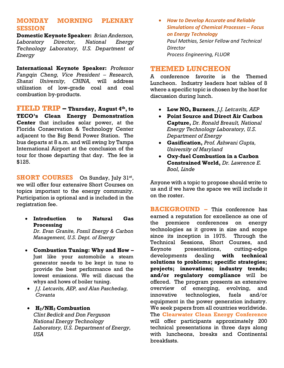### **MONDAY MORNING PLENARY SESSION**

**Domestic Keynote Speaker:** *Brian Anderson, Laboratory Director, National Energy Technology Laboratory, U.S. Department of Energy*

**International Keynote Speaker:** *Professor Fangqin Cheng, Vice President – Research, Shanxi University, CHINA,* will address utilization of low-grade coal and coal combustion by-products.

**FIELD TRIP – Thursday, August 4th , to TECO's Clean Energy Demonstration Center** that includes solar power, at the Florida Conservation & Technology Center adjacent to the Big Bend Power Station. The bus departs at 8 a.m. and will swing by Tampa International Airport at the conclusion of the tour for those departing that day. The fee is \$125.

**SHORT COURSES** On Sunday, July 31st, we will offer four extensive Short Courses on topics important to the energy community. Participation is optional and is included in the registration fee.

- **Introduction to Natural Gas Processing** *Dr. Evan Granite, Fossil Energy & Carbon Management, U.S. Dept. of Energy*
- **Combustion Tuning: Why and How –** Just like your automobile a steam generator needs to be kept in tune to provide the best performance and the lowest emissions. We will discuss the whys and hows of boiler tuning.
- *J.J. Letcavits, AEP, and Alan Paschedag, Covanta*

### • **H2/NH<sup>3</sup> Combustion**

*Clint Bedick and Don Ferguson National Energy Technology Laboratory, U.S. Department of Energy, USA*

• *How to Develop Accurate and Reliable Simulations of Chemical Processes – Focus on Energy Technology Paul Mathias, Senior Fellow and Technical Director Process Engineering, FLUOR*

### **THEMED LUNCHEON**

A conference favorite is the Themed Luncheon. Industry leaders host tables of 8 where a specific topic is chosen by the host for discussion during lunch.

- **Low NO<sup>x</sup> Burners**, *J.J. Letcavits, AEP*
- **Point Source and Direct Air Carbon Capture,** *Dr. Ronald Breault, National Energy Technology Laboratory, U.S. Department of Energy*
- **Gasification,** *Prof. Ashwani Gupta, University of Maryland*
- **Oxy-fuel Combustion in a Carbon Constrained World,** *Dr. Lawrence E. Bool, Linde*

Anyone with a topic to propose should write to us and if we have the space we will include it on the roster.

**BACKGROUND –** This conference has earned a reputation for excellence as one of the premiere conferences on energy technologies as it grows in size and scope since its inception in 1975. Through the Technical Sessions, Short Courses, and Keynote presentations, cutting-edge developments dealing **with technical solutions to problems; specific strategies; projects; innovations; industry trends; and/or regulatory compliance** will be offered. The program presents an extensive overview of emerging, evolving, and innovative technologies, fuels and/or equipment in the power generation industry. We seek papers from all countries worldwide. The **Clearwater Clean Energy Conference** will offer participants approximately 200 technical presentations in three days along with luncheons, breaks and Continental breakfasts.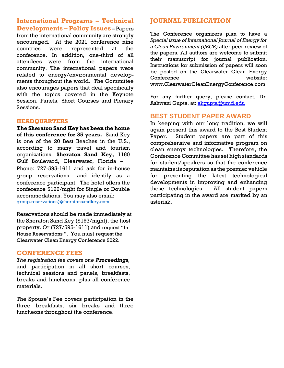**International Programs – Technical Developments – Policy Issues –** Papers from the international community are strongly encouraged. At the 2021 conference nine countries were represented at the conference. In addition, one-third of all attendees were from the international community. The international papers were related to energy/environmental developments throughout the world. The Committee also encourages papers that deal specifically with the topics covered in the Keynote Session, Panels, Short Courses and Plenary Sessions.

#### **HEADQUARTERS**

**The Sheraton Sand Key has been the home of this conference for 35 years.** Sand Key is one of the 20 Best Beaches in the U.S., according to many travel and tourism organizations. **Sheraton Sand Key,** 1160 Gulf Boulevard, Clearwater, Florida – Phone: 727-595-1611 and ask for in-house group reservations and identify as a conference participant. The hotel offers the conference \$199/night for Single or Double accommodations. You may also email: [group.reservations@sheratonsandkey.com](mailto:group.reservations@sheratonsandkey.com)

Reservations should be made immediately at the Sheraton Sand Key (\$197/night), the host property. Or (727/595-1611) and request "In House Reservations ". You must request the Clearwater Clean Energy Conference 2022.

#### **CONFERENCE FEES**

*The registration fee covers one Proceedings,*  and participation in all short courses, technical sessions and panels, breakfasts, breaks and luncheons, plus all conference materials.

The Spouse's Fee covers participation in the three breakfasts, six breaks and three luncheons throughout the conference.

#### **JOURNAL PUBLICATION**

The Conference organizers plan to have a *Special issue of International Journal of Energy for a Clean Environment (IJECE)* after peer review of the papers. All authors are welcome to submit their manuscript for journal publication. Instructions for submission of papers will soon be posted on the Clearwater Clean Energy Conference website: www.ClearwaterCleanEnergyConference.com

For any further query, please contact, Dr. Ashwani Gupta, at: **akqupta@umd.edu** 

#### **BEST STUDENT PAPER AWARD**

In keeping with our long tradition, we will again present this award to the Best Student Paper. Student papers are part of this comprehensive and informative program on clean energy technologies. Therefore, the Conference Committee has set high standards for student/speakers so that the conference maintains its reputation as the premier vehicle for presenting the latest technological developments in improving and enhancing these technologies. All student papers participating in the award are marked by an asterisk.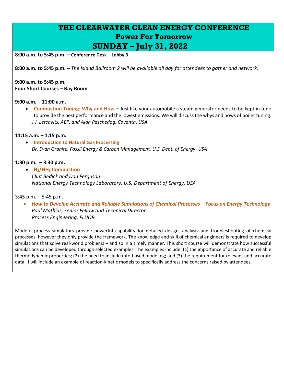## **THE CLEARWATER CLEAN ENERGY CONFERENCE Power For Tomorrow**

**SUNDAY – July 31, 2022**

**8:00 a.m. to 5:45 p.m. – Conference Desk – Lobby 3**

**8:00 a.m. to 5:45 p.m. –** *The Island Ballroom 2 will be available all day for attendees to gather and network*.

**9:00 a.m. to 5:45 p.m. Four Short Courses – Bay Room**

#### **9:00 a.m. – 11:00 a.m.**

• **Combustion Tuning: Why and How –** Just like your automobile a steam generator needs to be kept in tune to provide the best performance and the lowest emissions. We will discuss the whys and hows of boiler tuning. *J.J. Letcavits, AEP, and Alan Paschedag, Covanta, USA*

#### **11:15 a.m. – 1:15 p.m.**

• **Introduction to Natural Gas Processing** *Dr. Evan Granite, Fossil Energy & Carbon Management, U.S. Dept. of Energy, USA*

#### **1:30 p.m. – 3:30 p.m.**

• **H2/NH<sup>3</sup> Combustion** *Clint Bedick and Don Ferguson National Energy Technology Laboratory, U.S. Department of Energy, USA*

#### 3:45 p.m. – 5:45 p.m.

• *How to Develop Accurate and Reliable Simulations of Chemical Processes – Focus on Energy Technology Paul Mathias, Senior Fellow and Technical Director Process Engineering, FLUOR*

Modern process simulators provide powerful capability for detailed design, analysis and troubleshooting of chemical processes, however they only provide the framework. The knowledge and skill of chemical engineers is required to develop simulations that solve real-world problems – and so in a timely manner. This short course will demonstrate how successful simulations can be developed through selected examples. The examples include: (1) the importance of accurate and reliable thermodynamic properties; (2) the need to include rate-based modeling; and (3) the requirement for relevant and accurate data. I will include an example of reaction-kinetic models to specifically address the concerns raised by attendees.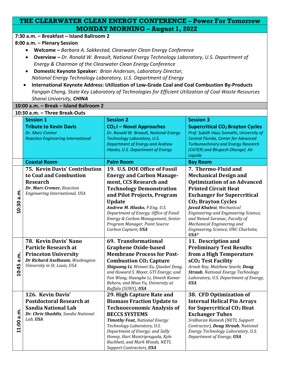|            | THE CLEARWATER CLEAN ENERGY CONFERENCE - Power For Tomorrow    |                                                                                                       |                                                                                   |  |
|------------|----------------------------------------------------------------|-------------------------------------------------------------------------------------------------------|-----------------------------------------------------------------------------------|--|
|            |                                                                | <b>MONDAY MORNING - August 1, 2022</b>                                                                |                                                                                   |  |
|            | 7:30 a.m. - Breakfast - Island Ballroom 2                      |                                                                                                       |                                                                                   |  |
|            | 8:00 a.m. - Plenary Session                                    |                                                                                                       |                                                                                   |  |
|            |                                                                | Welcome - Barbara A. Sakkestad, Clearwater Clean Energy Conference                                    |                                                                                   |  |
|            |                                                                | <b>Overview - Dr. Ronald W. Breault, National Energy Technology Laboratory, U.S. Department of</b>    |                                                                                   |  |
|            |                                                                | Energy & Chairman of the Clearwater Clean Energy Conference                                           |                                                                                   |  |
|            |                                                                | Domestic Keynote Speaker: Brian Anderson, Laboratory Director,                                        |                                                                                   |  |
|            |                                                                | National Energy Technology Laboratory, U.S. Department of Energy                                      |                                                                                   |  |
|            | $\bullet$                                                      | International Keynote Address: Utilization of Low-Grade Coal and Coal Combustion By-Products          |                                                                                   |  |
|            |                                                                | Fangqin Cheng, State Key Laboratory of Technologies for Efficient Utilization of Coal Waste Resources |                                                                                   |  |
|            | Shanxi University, CHINA                                       |                                                                                                       |                                                                                   |  |
|            | 10:00 a.m. - Break - Island Ballroom 2                         |                                                                                                       |                                                                                   |  |
|            | 10:30 a.m. - Three Break-Outs                                  |                                                                                                       |                                                                                   |  |
|            | <b>Session 1</b>                                               | <b>Session 2</b>                                                                                      | <b>Session 3</b>                                                                  |  |
|            | <b>Tribute to Kevin Davis</b>                                  | $CO2$ I – Novel Approaches                                                                            | <b>Supercritical CO<sub>2</sub> Brayton Cycles</b>                                |  |
|            | Dr. Marc Cremer                                                | Dr. Ronald W. Breault, National Energy                                                                | Prof. Subith Vasu Sumathi, University of                                          |  |
|            | <b>Reaction Engineering International</b>                      | Technology Laboratory, U.S.<br>Department of Energy and Andrew                                        | Central Florida, Center for Advanced<br><b>Turbomachinery and Energy Research</b> |  |
|            |                                                                | Hlasko, U.S. Department of Energy                                                                     | (CATER) and Bhupesh Dhungel, Air                                                  |  |
|            |                                                                |                                                                                                       | Liquide                                                                           |  |
|            | <b>Coastal Room</b>                                            | <b>Palm Room</b>                                                                                      | <b>Bay Room</b>                                                                   |  |
|            | 75. Kevin Davis' Contribution                                  | 19. U.S. DOE Office of Fossil                                                                         | 7. Thermo-Fluid and                                                               |  |
|            | to Coal and Combustion                                         | <b>Energy and Carbon Manage-</b>                                                                      | <b>Mechanical Design and</b>                                                      |  |
|            | <b>Research</b>                                                | ment, CCS Research and                                                                                | <b>Optimization of an Advanced</b>                                                |  |
|            | Dr. Marc Cremer, Reaction                                      | <b>Technology Demonstration</b>                                                                       | <b>Printed Circuit Heat</b>                                                       |  |
| a.m.       | Engineering International, USA                                 | and Pilot Projects, Program                                                                           | <b>Exchanger for Supercritical</b>                                                |  |
| 10:30      |                                                                | <b>Update</b>                                                                                         | <b>CO<sub>2</sub></b> Brayton Cycles                                              |  |
|            |                                                                | Andrew M. Hlasko, P.Eng. U.S.<br>Department of Energy, Office of Fossil                               | Javad Khalesi, Mechanical<br>Engineering and Engineering Science,                 |  |
|            |                                                                | Energy & Carbon Management, Senior                                                                    | and Nenad Sarunac, Faculty of                                                     |  |
|            |                                                                | Program Manager, Point Source                                                                         | Mechanical Engineering and                                                        |  |
|            |                                                                | Carbon Capture, USA                                                                                   | Engineering Science, UNC Charlotte,                                               |  |
|            |                                                                |                                                                                                       | $USA*$                                                                            |  |
|            | 78. Kevin Davis' Nano                                          | 69. Transformational                                                                                  | 11. Description and                                                               |  |
|            | <b>Particle Research at</b>                                    | <b>Graphene Oxide-based</b><br><b>Membrane Process for Post-</b>                                      | <b>Preliminary Test Results</b>                                                   |  |
| a.m.       | <b>Princeton University</b><br>Dr Richard Axelbaum, Washington | <b>Combustion CO<sub>2</sub> Capture</b>                                                              | from a High Temperature<br>sCO <sub>2</sub> Test Facility                         |  |
|            | University in St. Louis, USA                                   | Shiguang Li, Weiwei Xu, Qiaobei Dong,                                                                 | Arnab Roy, Matthew Searle, Doug                                                   |  |
| 10:45      |                                                                | and Howard S. Meyer, GTI Energy; and                                                                  | <b>Straub</b> , National Energy Technology                                        |  |
|            |                                                                | Fan Wang, Huanghe Li, Dinesh Kumar                                                                    | Laboratory, U.S. Department of Energy,                                            |  |
|            |                                                                | Behera, and Miao Yu, University at                                                                    | <b>USA</b>                                                                        |  |
|            | 126. Kevin Davis'                                              | Buffalo (SUNY), USA                                                                                   |                                                                                   |  |
|            | <b>Postdoctoral Research at</b>                                | 29. High Capture Rate and                                                                             | 38. CFD Optimization of                                                           |  |
|            | <b>Sandia National Lab</b>                                     | <b>Biomass Fraction Update to</b><br><b>Technoeconomic Analysis of</b>                                | <b>Internal Helical Pin Arrays</b><br>for Supercritical CO <sub>2</sub> Heat      |  |
|            | Dr. Chris Shaddix, Sandia National                             | <b>BECCS SYSTEMS</b>                                                                                  | <b>Exchanger Tubes</b>                                                            |  |
|            | Lab, USA                                                       | <b>Timothy Fout, National Energy</b>                                                                  | Sridharan Ramesh (NETL Support                                                    |  |
| 11:00 a.m. |                                                                | Technology Laboratory, U.S.                                                                           | Contractor), Doug Straub, National                                                |  |
|            |                                                                | Department of Energy; and Sally                                                                       | Energy Technology Laboratory, U.S.                                                |  |
|            |                                                                | Homsy, Hari Mantripragada, Kyle                                                                       | Department of Energy, USA                                                         |  |
|            |                                                                | Buchheit, and Mark Woods, NETL<br><b>Support Contractors, USA</b>                                     |                                                                                   |  |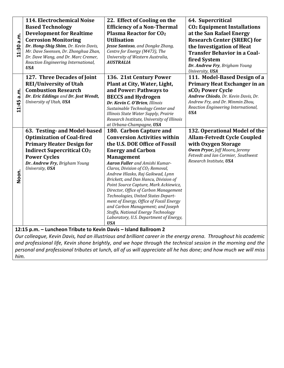|            | 114. Electrochemical Noise                                                                                       | 22. Effect of Cooling on the                                                          | 64. Supercritical                                                                                             |
|------------|------------------------------------------------------------------------------------------------------------------|---------------------------------------------------------------------------------------|---------------------------------------------------------------------------------------------------------------|
|            | <b>Based Technology</b>                                                                                          | <b>Efficiency of a Non-Thermal</b>                                                    | <b>CO<sub>2</sub></b> Equipment Installations                                                                 |
|            | <b>Development for Realtime</b>                                                                                  | <b>Plasma Reactor for CO<sub>2</sub></b>                                              | at the San Rafael Energy                                                                                      |
| 11:30 a.m. | <b>Corrosion Monitoring</b>                                                                                      | <b>Utilisation</b>                                                                    | <b>Research Center (SRERC) for</b>                                                                            |
|            | Dr. Hong-Shig Shim, Dr. Kevin Davis,                                                                             | Jesse Santoso, and Dongke Zhang,                                                      | the Investigation of Heat                                                                                     |
|            | Mr. Dave Swensen, Dr. Zhonghua Zhan,                                                                             | Centre for Energy (M473), The                                                         | <b>Transfer Behavior in a Coal-</b>                                                                           |
|            | Dr. Dave Wang, and Dr. Marc Cremer,<br>Reaction Engineering International,                                       | University of Western Australia,<br><b>AUSTRALIA</b>                                  | fired System                                                                                                  |
|            | <b>USA</b>                                                                                                       |                                                                                       | Dr. Andrew Fry, Brigham Young                                                                                 |
|            |                                                                                                                  |                                                                                       | University, USA                                                                                               |
|            | 127. Three Decades of Joint                                                                                      | 136. 21st Century Power                                                               | 111. Model-Based Design of a                                                                                  |
|            | <b>REI/University of Utah</b>                                                                                    | Plant at City, Water, Light,                                                          | Primary Heat Exchanger in an                                                                                  |
| a.m.       | <b>Combustion Research</b>                                                                                       | and Power: Pathways to                                                                | sCO <sub>2</sub> Power Cycle                                                                                  |
|            | Dr. Eric Eddings and Dr. Jost Wendt,<br>University of Utah, USA                                                  | <b>BECCS and Hydrogen</b>                                                             | Andrew Chiodo, Dr. Kevin Davis, Dr.<br>Andrew Fry, and Dr. Minmin Zhou,                                       |
| 11:45      |                                                                                                                  | Dr. Kevin C. O'Brien, Illinois<br>Sustainable Technology Center and                   | Reaction Engineering International,                                                                           |
|            |                                                                                                                  | Illinois State Water Supply, Prairie                                                  | <b>USA</b>                                                                                                    |
|            |                                                                                                                  | Research Institute, University of Illinois                                            |                                                                                                               |
|            |                                                                                                                  | at Urbana-Champagne, USA                                                              |                                                                                                               |
|            | 63. Testing- and Model-based                                                                                     | 180. Carbon Capture and                                                               | 132. Operational Model of the                                                                                 |
|            | <b>Optimization of Coal-fired</b>                                                                                | <b>Conversion Activities within</b>                                                   | <b>Allam-Fetvedt Cycle Coupled</b>                                                                            |
|            | <b>Primary Heater Design for</b>                                                                                 | the U.S. DOE Office of Fossil                                                         | with Oxygen Storage                                                                                           |
|            | <b>Indirect Supercritical CO<sub>2</sub></b>                                                                     | <b>Energy and Carbon</b>                                                              | <b>Owen Pryor, Jeff Moore, Jeremy</b><br>Fetvedt and Ian Cormier, Southwest                                   |
|            | <b>Power Cycles</b>                                                                                              | <b>Management</b>                                                                     | Research Institute, USA                                                                                       |
|            | Dr. Andrew Fry, Brigham Young<br>University, USA                                                                 | <b>Aaron Fuller</b> and Amishi Kumar-<br>Claros, Division of CO <sub>2</sub> Removal, |                                                                                                               |
| Noon.      |                                                                                                                  | Andrew Hlasko, Raj Gaikwad, Lynn                                                      |                                                                                                               |
|            |                                                                                                                  | Brickett, and Dan Hancu, Division of                                                  |                                                                                                               |
|            |                                                                                                                  | Point Source Capture, Mark Ackiewicz,                                                 |                                                                                                               |
|            |                                                                                                                  | Director, Office of Carbon Management                                                 |                                                                                                               |
|            |                                                                                                                  | Technologies, United States Depart-<br>ment of Energy, Office of Fossil Energy        |                                                                                                               |
|            |                                                                                                                  | and Carbon Management; and Joseph                                                     |                                                                                                               |
|            |                                                                                                                  | Stoffa, National Energy Technology                                                    |                                                                                                               |
|            |                                                                                                                  | Laboratory, U.S. Department of Energy,                                                |                                                                                                               |
|            |                                                                                                                  | <b>USA</b>                                                                            |                                                                                                               |
|            | 12:15 p.m. - Luncheon Tribute to Kevin Davis - Island Ballroom 2                                                 |                                                                                       |                                                                                                               |
|            | Our colleague, Kevin Davis, had an illustrious and brilliant career in the energy arena. Throughout his academic |                                                                                       | and professional life. Kevin shone brightly, and we hone through the technical session in the morning and the |

*and professional life, Kevin shone brightly, and we hope through the technical session in the morning and the personal and professional tributes at lunch, all of us will appreciate all he has done; and how much we will miss him.*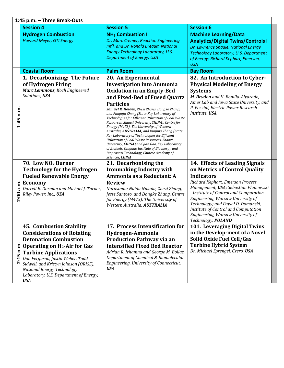|          | 1:45 p.m. - Three Break-Outs                                                                                                                                                                                                                                                                                                                                   |                                                                                                                                                                                                                                                                                                                                                                                                                                                                                                                                                                                                                                                                                                                                        |                                                                                                                                                                                                                                                                                                                                                                                                 |  |  |  |
|----------|----------------------------------------------------------------------------------------------------------------------------------------------------------------------------------------------------------------------------------------------------------------------------------------------------------------------------------------------------------------|----------------------------------------------------------------------------------------------------------------------------------------------------------------------------------------------------------------------------------------------------------------------------------------------------------------------------------------------------------------------------------------------------------------------------------------------------------------------------------------------------------------------------------------------------------------------------------------------------------------------------------------------------------------------------------------------------------------------------------------|-------------------------------------------------------------------------------------------------------------------------------------------------------------------------------------------------------------------------------------------------------------------------------------------------------------------------------------------------------------------------------------------------|--|--|--|
|          | <b>Session 4</b><br><b>Hydrogen Combustion</b><br><b>Howard Meyer, GTI Energy</b>                                                                                                                                                                                                                                                                              | <b>Session 5</b><br><b>NH<sub>3</sub></b> Combustion I<br>Dr. Marc Cremer, Reaction Engineering<br>Int'l, and Dr. Ronald Breault, National<br><b>Energy Technology Laboratory, U.S.</b><br><b>Department of Energy, USA</b>                                                                                                                                                                                                                                                                                                                                                                                                                                                                                                            | <b>Session 6</b><br><b>Machine Learning/Data</b><br><b>Analytics/Digital Twins/Controls I</b><br>Dr. Lawrence Shadle, National Energy<br><b>Technology Laboratory, U.S. Department</b><br>of Energy; Richard Kephart, Emerson,<br><b>USA</b>                                                                                                                                                    |  |  |  |
|          | <b>Coastal Room</b>                                                                                                                                                                                                                                                                                                                                            | <b>Palm Room</b>                                                                                                                                                                                                                                                                                                                                                                                                                                                                                                                                                                                                                                                                                                                       | <b>Bay Room</b>                                                                                                                                                                                                                                                                                                                                                                                 |  |  |  |
| 5 n.m    | 1. Decarbonizing: The Future<br>of Hydrogen Firing<br>Marc Lemmons, Koch Engineered<br>Solutions, USA                                                                                                                                                                                                                                                          | 20. An Experimental<br><b>Investigation into Ammonia</b><br><b>Oxidation in an Empty-Bed</b><br>and Fixed-Bed of Fused Quartz<br><b>Particles</b><br>Samuel R. Holden, Zhezi Zhang, Dongke Zhang,<br>and Fangqin Cheng (State Key Laboratory of<br>Technologies for Efficient Utilization of Coal Waste<br>Resources, Shanxi University, CHINA), Centre for<br>Energy (M473), The University of Western<br>Australia, AUSTRALIA; and Ruiping Zhang (State<br>Key Laboratory of Technologies for Efficient<br>Utilization of Coal Waste Resources, Shanxi<br>University, CHINA), and Jian Gao, Key Laboratory<br>of Biofuels, Qingdao Institute of Bioenergy and<br>Bioprocess Technology, Chinese Academy of<br>Sciences, <b>CHINA</b> | 82. An Introduction to Cyber-<br><b>Physical Modeling of Energy</b><br><b>Systems</b><br>M. Bryden and H. Bonilla-Alvarado,<br>Ames Lab and Iowa State University, and<br>P. Pezzini, Electric Power Research<br>Institute, USA                                                                                                                                                                 |  |  |  |
| ਥ<br>500 | 70. Low NO <sub>x</sub> Burner<br><b>Technology for the Hydrogen</b><br><b>Fueled Renewable Energy</b><br><b>Economy</b><br>Darrell E. Dorman and Michael J. Turner,<br>Riley Power, Inc., USA                                                                                                                                                                 | 21. Decarbonising the<br><b>Ironmaking Industry with</b><br>Ammonia as a Reductant: A<br><b>Review</b><br>Narasimha Naidu Nukala, Zhezi Zhang,<br>Jesse Santoso, and Dongke Zhang, Centre<br>for Energy (M473), The University of<br>Western Australia, AUSTRALIA                                                                                                                                                                                                                                                                                                                                                                                                                                                                      | 14. Effects of Leading Signals<br>on Metrics of Control Quality<br><b>Indicators</b><br>Richard Kephart, Emerson Process<br>Management, USA; Sebastian Plamowski<br>- Institute of Control and Computation<br>Engineering, Warsaw University of<br>Technology; and Paweł D. Domański,<br>Institute of Control and Computation<br>Engineering, Warsaw University of<br>Technology, <b>POLAND</b> |  |  |  |
| Ę<br>Ľ   | <b>45. Combustion Stability</b><br><b>Considerations of Rotating</b><br><b>Detonation Combustion</b><br><b>Operating on H<sub>2</sub>-Air for Gas</b><br><b>Turbine Applications</b><br>Don Ferguson, Justin Weber, Todd<br>Sidwell, and Kristyn Johnson (ORISE),<br><b>National Energy Technology</b><br>Laboratory, U.S. Department of Energy,<br><b>USA</b> | 17. Process Intensification for<br>Hydrogen-Ammonia<br><b>Production Pathway via an</b><br><b>Intensified Fixed Bed Reactor</b><br>Adrian R. Irhamna and George M. Bollas,<br>Department of Chemical & Biomolecular<br>Engineering, University of Connecticut,<br><b>USA</b>                                                                                                                                                                                                                                                                                                                                                                                                                                                           | 101. Leveraging Digital Twins<br>in the Develop-ment of a Novel<br>Solid Oxide Fuel Cell/Gas<br><b>Turbine Hybrid System</b><br>Dr. Michael Sprengel, Czero, USA                                                                                                                                                                                                                                |  |  |  |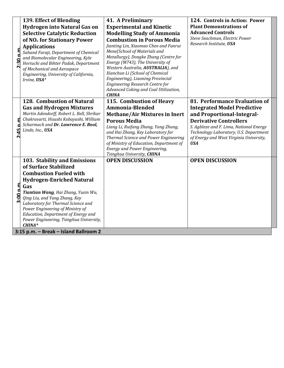| 2:30 p.m. | 139. Effect of Blending<br><b>Hydrogen into Natural Gas on</b><br><b>Selective Catalytic Reduction</b><br>of NO <sub>x</sub> for Stationary Power<br><b>Applications</b><br>Sahand Faraji, Department of Chemical<br>and Biomolecular Engineering, Kyle<br>Horiuchi and Bihter Padak, Department<br>of Mechanical and Aerospace<br>Engineering, University of California,<br>Irvine, USA*<br>128. Combustion of Natural  | 41. A Preliminary<br><b>Experimental and Kinetic</b><br><b>Modelling Study of Ammonia</b><br><b>Combustion in Porous Media</b><br>Jianting Lin, Xiaomao Chen and Fanrui<br>Mene(School of Materials and<br>Metallurgy), Dongke Zhang (Centre for<br>Energy (M743), The University of<br>Western Australia, AUSTRALIA), and<br>Xianchun Li (School of Chemical<br>Engineering), Liaoning Provincial<br>Engineering Research Centre for<br>Advanced Coking and Coal Utilization,<br><b>CHINA</b><br>115. Combustion of Heavy | 124. Controls in Action: Power<br><b>Plant Demonstrations of</b><br><b>Advanced Controls</b><br>Steve Seachman, Electric Power<br>Research Institute, USA<br>81. Performance Evaluation of                                                      |  |
|-----------|--------------------------------------------------------------------------------------------------------------------------------------------------------------------------------------------------------------------------------------------------------------------------------------------------------------------------------------------------------------------------------------------------------------------------|----------------------------------------------------------------------------------------------------------------------------------------------------------------------------------------------------------------------------------------------------------------------------------------------------------------------------------------------------------------------------------------------------------------------------------------------------------------------------------------------------------------------------|-------------------------------------------------------------------------------------------------------------------------------------------------------------------------------------------------------------------------------------------------|--|
| 8<br>2:45 | <b>Gas and Hydrogen Mixtures</b><br>Martin Adendorff, Robert L. Bell, Shrikar<br>Chakravarti, Hisashi Kobayashi, William<br>Scharmach and Dr. Lawrence E. Bool,<br>Linde, Inc., USA                                                                                                                                                                                                                                      | Ammonia-Blended<br><b>Methane/Air Mixtures in Inert</b><br><b>Porous Media</b><br>Liang Li, Ruifang Zhang, Yang Zhang,<br>and Hai Zhang, Key Laboratory for<br>Thermal Science and Power Engineering<br>of Ministry of Education, Department of<br>Energy and Power Engineering,<br>Tsinghua University, CHINA                                                                                                                                                                                                             | <b>Integrated Model Predictive</b><br>and Proportional-Integral-<br><b>Derivative Controllers</b><br>S. Agbleze and F. Lima, National Energy<br>Technology Laboratory, U.S. Department<br>of Energy and West Virginia University,<br><b>USA</b> |  |
| 3:00 p.m  | 103. Stability and Emissions<br>of Surface Stabilized<br><b>Combustion Fueled with</b><br><b>Hydrogen-Enriched Natural</b><br>Gas<br>Tiantian Wang, Hai Zhang, Yuxin Wu,<br>Qing Liu, and Yang Zhang, Key<br>Laboratory for Thermal Science and<br>Power Engineering of Ministry of<br>Education, Department of Energy and<br>Power Engineering, Tsinghua University,<br>CHINA*<br>3:15 p.m. - Break - Island Ballroom 2 | <b>OPEN DISCUSSION</b>                                                                                                                                                                                                                                                                                                                                                                                                                                                                                                     | <b>OPEN DISCUSSION</b>                                                                                                                                                                                                                          |  |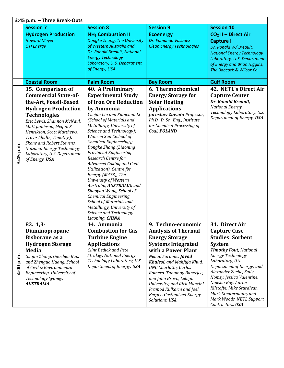|              | 3:45 p.m. - Three Break-Outs                                                                                                                                                                                                                                                                                                                                           |                                                                                                                                                                                                                                                                                                                                                                                                                                                                                                                                                                                                                                                   |                                                                                                                                                                                                                                                                                                                                                                  |                                                                                                                                                                                                                                                                                                                                                            |
|--------------|------------------------------------------------------------------------------------------------------------------------------------------------------------------------------------------------------------------------------------------------------------------------------------------------------------------------------------------------------------------------|---------------------------------------------------------------------------------------------------------------------------------------------------------------------------------------------------------------------------------------------------------------------------------------------------------------------------------------------------------------------------------------------------------------------------------------------------------------------------------------------------------------------------------------------------------------------------------------------------------------------------------------------------|------------------------------------------------------------------------------------------------------------------------------------------------------------------------------------------------------------------------------------------------------------------------------------------------------------------------------------------------------------------|------------------------------------------------------------------------------------------------------------------------------------------------------------------------------------------------------------------------------------------------------------------------------------------------------------------------------------------------------------|
|              | <b>Session 7</b>                                                                                                                                                                                                                                                                                                                                                       | <b>Session 8</b>                                                                                                                                                                                                                                                                                                                                                                                                                                                                                                                                                                                                                                  | <b>Session 9</b>                                                                                                                                                                                                                                                                                                                                                 | <b>Session 10</b>                                                                                                                                                                                                                                                                                                                                          |
|              | <b>Hydrogen Production</b><br><b>Howard Meyer</b><br><b>GTI Energy</b>                                                                                                                                                                                                                                                                                                 | <b>NH<sub>3</sub></b> Combustion II<br><b>Dongke Zhang, The University</b><br>of Western Australia and<br>Dr. Ronald Breault, National<br><b>Energy Technology</b><br>Laboratory, U.S. Department<br>of Energy, USA                                                                                                                                                                                                                                                                                                                                                                                                                               | <b>Ecoenergy</b><br>Dr. Edmundo Vasquez<br><b>Clean Energy Technologies</b>                                                                                                                                                                                                                                                                                      | $CO2$ II - Direct Air<br><b>Capture I</b><br>Dr. Ronald W/ Breault,<br><b>National Energy Technology</b><br>Laboratory, U.S. Department<br>of Energy and Brian Higgins,<br>The Babcock & Wilcox Co.                                                                                                                                                        |
|              | <b>Coastal Room</b>                                                                                                                                                                                                                                                                                                                                                    | <b>Palm Room</b>                                                                                                                                                                                                                                                                                                                                                                                                                                                                                                                                                                                                                                  | <b>Bay Room</b>                                                                                                                                                                                                                                                                                                                                                  | <b>Gulf Room</b>                                                                                                                                                                                                                                                                                                                                           |
| p.m.<br>3:45 | 15. Comparison of<br><b>Commercial State-of-</b><br>the-Art, Fossil-Based<br><b>Hydrogen Production</b><br><b>Technologies</b><br>Eric Lewis, Shannon McNaul,<br>Matt Jamieson, Megan S.<br>Henrikson, Scott Matthews,<br>Travis Shultz, Timothy J.<br>Skone and Robert Stevens,<br><b>National Energy Technology</b><br>Laboratory, U.S. Department<br>of Energy, USA | <b>40. A Preliminary</b><br><b>Experimental Study</b><br>of Iron Ore Reduction<br>by Ammonia<br>Yuejun Liu and Xianchun Li<br>(School of Materials and<br>Metallurgy, University of<br>Science and Technology);<br>Wancen Sun (School of<br>Chemical Engineering);<br>Dongke Zhang (Liaoning<br>Provincial Engineering<br>Research Centre for<br><b>Advanced Coking and Coal</b><br>Utilization), Centre for<br>Energy (M473), The<br>University of Western<br>Australia, AUSTRALIA; and<br>Shaoyan Wang, School of<br>Chemical Engineering,<br>School of Materials and<br>Metallurgy, University of<br>Science and Technology<br>Liaoning, CHINA | 6. Thermochemical<br><b>Energy Storage for</b><br><b>Solar Heating</b><br><b>Applications</b><br>Jarosław Zuwała Professor,<br>Ph.D., D. Sc., Eng., Institute<br>for Chemical Processing of<br>Coal, POLAND                                                                                                                                                      | 42. NETL's Direct Air<br><b>Capture Center</b><br>Dr. Ronald Breault,<br><b>National Energy</b><br>Technology Laboratory, U.S.<br>Department of Energy, USA                                                                                                                                                                                                |
|              | 83.1,3                                                                                                                                                                                                                                                                                                                                                                 | 44. Ammonia                                                                                                                                                                                                                                                                                                                                                                                                                                                                                                                                                                                                                                       | q<br>Techno-economic                                                                                                                                                                                                                                                                                                                                             | 31<br>Direct Air                                                                                                                                                                                                                                                                                                                                           |
| p.m.<br>4.00 | Diaminopropane<br><b>Bisborane as a</b><br><b>Hydrogen Storage</b><br><b>Media</b><br>Guojin Zhang, Guochen Bao,<br>and Zhenguo Huang, School<br>of Civil & Environmental<br>Engineering, University of<br>Technology Sydney,<br><b>AUSTRALIA</b>                                                                                                                      | <b>Combustion for Gas</b><br><b>Turbine Engine</b><br><b>Applications</b><br>Clint Bedick and Pete<br><b>Strakey, National Energy</b><br>Technology Laboratory, U.S.<br>Department of Energy, USA                                                                                                                                                                                                                                                                                                                                                                                                                                                 | <b>Analysis of Thermal</b><br><b>Energy Storage</b><br><b>Systems Integrated</b><br>with a Power Plant<br>Nenad Sarunac, Javad<br>Khalesi, and Mahfuja Khud,<br><b>UNC Charlotte; Carlos</b><br>Romero, Tanumoy Banerjee,<br>and Julio Bravo, Lehigh<br>University; and Rick Mancini,<br>Pramod Kulkarni and Joel<br>Berger, Customized Energy<br>Solutions, USA | <b>Capture Case</b><br><b>Studies: Sorbent</b><br><b>System</b><br><b>Timothy Fout, National</b><br>Energy Technology<br>Laboratory, U.S.<br>Department of Energy; and<br>Alexander Zoelle, Sally<br>Homsy, Jessica Valentine,<br>Naksha Roy, Aaron<br>Kilstofte, Mike Sturdivan,<br>Mark Steutermann, and<br>Mark Woods, NETL Support<br>Contractors, USA |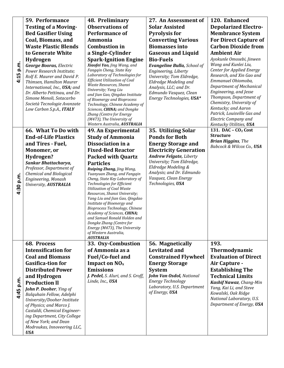|           | <b>59. Performance</b>                                       | 48. Preliminary                                                 | 27. An Assessment of                               | 120. Enhanced                                       |
|-----------|--------------------------------------------------------------|-----------------------------------------------------------------|----------------------------------------------------|-----------------------------------------------------|
|           | <b>Testing of a Moving-</b>                                  | <b>Observations of</b>                                          | <b>Solar Assisted</b>                              | <b>Depolarized Electro-</b>                         |
|           | <b>Bed Gasifier Using</b>                                    | <b>Performance of</b>                                           | <b>Pyrolysis for</b>                               | <b>Membrance System</b>                             |
|           | Coal, Biomass, and                                           | Ammonia                                                         | <b>Converting Various</b>                          | <b>For Direct Capture of</b>                        |
|           | <b>Waste Plastic Blends</b>                                  | <b>Combustion in</b>                                            | <b>Biomasses into</b>                              | <b>Carbon Dioxide from</b>                          |
|           | to Generate White                                            | a Single-Cylinder                                               | <b>Gaseous and Liquid</b>                          | <b>Ambient Air</b>                                  |
|           | Hydrogen                                                     | <b>Spark-Ignition Engine</b>                                    | <b>Bio-Fuels</b>                                   | Ayokunle Omosebi, Jinwen                            |
| 4:15 p.m. | <b>George Booras, Electric</b>                               | Xiaofei Yao, Jing Wang, and                                     | <b>Evangeline Bulla, School of</b>                 | Wang and Kunlei Liu,                                |
|           | Power Research Institute;                                    | Fangqin Cheng, State Key                                        | Engineering, Liberty                               | Center for Applied Energy                           |
|           | Rolf E. Maurer and David P.                                  | Laboratory of Technologies for<br>Efficient Utilization of Coal | University; Tom Eldredge,                          | Research, and Xin Gao and<br>Emmanuel Ohiomoba,     |
|           | Thimsen, Hamilton Maurer<br>International, Inc., USA; and    | Waste Resources, Shanxi                                         | Eldredge Modeling and<br>Analysis, LLC; and Dr.    | Department of Mechanical                            |
|           | Dr. Alberto Pettinau, and Dr.                                | University; Yang Liu                                            | Edmundo Vasquez, Clean                             | Engineering, and Jesse                              |
|           | Simone Menoli, Sotacarbo                                     | and Jian Gao, Qingdao Institute<br>of Bioenergy and Bioprocess  | Energy Technologies, USA*                          | Thompson, Department of                             |
|           | Società Tecnologie Avanzate                                  | Technology, Chinese Academy of                                  |                                                    | Chemistry, University of                            |
|           | Low Carbon S.p.A., ITALY                                     | Sciences, CHINA; and Dongke                                     |                                                    | Kentucky; and Aaron                                 |
|           |                                                              | Zhang (Centre for Energy<br>(M473), The University of           |                                                    | Patrick, Louisville Gas and<br>Electric Company and |
|           |                                                              | Western Australia, AUSTRALIA                                    |                                                    | Kentucky Utilities, USA                             |
|           | 66. What To Do with                                          | 49. An Experimental                                             | 35. Utilizing Solar                                | 131. DAC - CO <sub>2</sub> Cost                     |
|           | <b>End-of-Life Plastics</b>                                  | <b>Study of Ammonia</b>                                         | <b>Ponds for Both</b>                              | <b>Structure</b>                                    |
|           | and Tires - Fuel,                                            | Dissociation in a                                               | <b>Energy Storage and</b>                          | <b>Brian Higgins</b> , The                          |
|           | Monomer, or                                                  | <b>Fixed-Bed Reactor</b>                                        | <b>Electricity Generation</b>                      | Babcock & Wilcox Co., USA                           |
|           | Hydrogen?                                                    | <b>Packed with Quartz</b>                                       | <b>Andrew Felgate, Liberty</b>                     |                                                     |
|           | Sankar Bhattacharya,                                         | <b>Particles</b>                                                | University; Tom Eldredge,                          |                                                     |
|           | Professor, Department of                                     | Ruiping Zhang, Jing Wang,                                       | Eldredge Modeling &                                |                                                     |
|           | <b>Chemical and Biological</b>                               | Yuanyuan Zhang, and Fangqin<br>Cheng, State Key Laboratory of   | Analysis; and Dr. Edmundo<br>Vasquez, Clean Energy |                                                     |
| 4:30 p.m. | Engineering, Monash<br>University, AUSTRALIA                 | Technologies for Efficient                                      | Technologies, USA                                  |                                                     |
|           |                                                              | <b>Utilization of Coal Waste</b>                                |                                                    |                                                     |
|           |                                                              | Resources, Shanxi University;<br>Yang Liu and Jian Gao, Qingdao |                                                    |                                                     |
|           |                                                              | Institute of Bioenergy and                                      |                                                    |                                                     |
|           |                                                              | Bioprocess Technology, Chinese                                  |                                                    |                                                     |
|           |                                                              | Academy of Sciences, CHINA;<br>and Samuel Ronald Holden and     |                                                    |                                                     |
|           |                                                              | Dongke Zhang (Centre for                                        |                                                    |                                                     |
|           |                                                              | Energy (M473), The University                                   |                                                    |                                                     |
|           |                                                              | of Western Australia,<br><b>AUSTRALIA</b>                       |                                                    |                                                     |
|           | 68. Process                                                  | 33. Oxy-Combustion                                              | 56. Magnetically                                   | 193.                                                |
|           | <b>Intensification for</b>                                   | of Ammonia as a                                                 | <b>Levitated and</b>                               | Thermodynamic                                       |
|           | <b>Coal and Biomass</b>                                      | Fuel/Co-fuel and                                                | <b>Constrained Flywheel</b>                        | <b>Evaluation of Direct</b>                         |
|           | <b>Gasifica-tion for</b>                                     | Impact on $NOx$                                                 | <b>Energy Storage</b>                              | Air Capture -                                       |
|           | <b>Distributed Power</b>                                     | <b>Emissions</b>                                                | <b>System</b>                                      | <b>Establishing The</b>                             |
|           | and Hydrogen                                                 | J. Pedel, S. Aluri, and S. Groff,                               | <b>John Van Osdol, National</b>                    | <b>Technical Limits</b>                             |
| 4:45 p.m. | <b>Production II</b>                                         | Linde, Inc., USA                                                | Energy Technology                                  | <b>Kashif Nawaz</b> , Chang-Min                     |
|           | John P. Dooher, Ying of                                      |                                                                 | Laboratory, U.S. Department                        | Yang, Kai Li, and Steve                             |
|           | Balquhain Fellow, Adelphi                                    |                                                                 | of Energy, USA                                     | Kowalski, Oak Ridge                                 |
|           | University/Dooher Institute                                  |                                                                 |                                                    | National Laboratory, U.S.                           |
|           | of Physics; and Marco J.                                     |                                                                 |                                                    | Department of Energy, USA                           |
|           | Castaldi, Chemical Engineer-<br>ing Department, City College |                                                                 |                                                    |                                                     |
|           | of New York; and Dean                                        |                                                                 |                                                    |                                                     |
|           | Modroukas, Innoveering LLC,                                  |                                                                 |                                                    |                                                     |
|           | <b>USA</b>                                                   |                                                                 |                                                    |                                                     |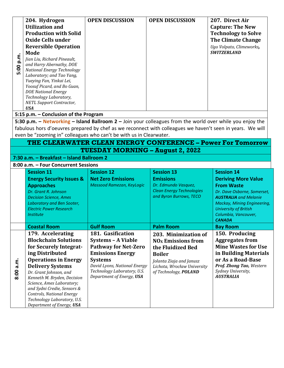| 5:00 p.m. | 204. Hydrogen<br><b>Utilization and</b><br><b>Production with Solid</b><br>Oxide Cells under<br><b>Reversible Operation</b><br>Mode<br>Jian Liu, Richard Pineault,<br>and Harry Abernathy, DOE<br><b>National Energy Technology</b><br>Laboratory; and Tao Yang,<br>Yueying Fan, Yinkai Lei,<br>Yoosuf Picard, and Bo Guan,<br><b>DOE National Energy</b><br>Technology Laboratory,<br><b>NETL Support Contractor,</b><br><b>USA</b> | <b>OPEN DISCUSSION</b>                                      | <b>OPEN DISCUSSION</b>                                   | 207. Direct Air<br><b>Capture: The New</b><br><b>Technology to Solve</b><br><b>The Climate Change</b><br>Ugo Volpato, Climeworks,<br><b>SWITZERLAND</b> |
|-----------|--------------------------------------------------------------------------------------------------------------------------------------------------------------------------------------------------------------------------------------------------------------------------------------------------------------------------------------------------------------------------------------------------------------------------------------|-------------------------------------------------------------|----------------------------------------------------------|---------------------------------------------------------------------------------------------------------------------------------------------------------|
|           | 5:15 p.m. - Conclusion of the Program                                                                                                                                                                                                                                                                                                                                                                                                |                                                             |                                                          |                                                                                                                                                         |
|           | 5:30 p.m. $-$ Networking $-$ Island Ballroom 2 $-$ Join your colleagues from the world over while you enjoy the<br>fabulous hors d'oeuvres prepared by chef as we reconnect with colleagues we haven't seen in years. We will<br>even be "zooming in" colleagues who can't be with us in Clearwater.                                                                                                                                 |                                                             |                                                          |                                                                                                                                                         |
|           |                                                                                                                                                                                                                                                                                                                                                                                                                                      | THE CLEARWATER CLEAN ENERGY CONFERENCE - Power For Tomorrow |                                                          |                                                                                                                                                         |
|           | 7:30 a.m. - Breakfast - Island Ballroom 2                                                                                                                                                                                                                                                                                                                                                                                            | <b>TUESDAY MORNING – August 2, 2022</b>                     |                                                          |                                                                                                                                                         |
|           | 8:00 a.m. - Four Concurrent Sessions                                                                                                                                                                                                                                                                                                                                                                                                 |                                                             |                                                          |                                                                                                                                                         |
|           | <b>Session 11</b>                                                                                                                                                                                                                                                                                                                                                                                                                    | <b>Session 12</b>                                           | <b>Session 13</b>                                        | <b>Session 14</b>                                                                                                                                       |
|           | <b>Energy Security Issues &amp;</b>                                                                                                                                                                                                                                                                                                                                                                                                  | <b>Net Zero Emissions</b>                                   | <b>Emissions</b>                                         | <b>Deriving More Value</b>                                                                                                                              |
|           | <b>Approaches</b><br>Dr. Grant R. Johnson                                                                                                                                                                                                                                                                                                                                                                                            | Massood Ramezan, KeyLogic                                   | Dr. Edmundo Vasquez,<br><b>Clean Energy Technologies</b> | <b>From Waste</b><br>Dr. Dave Osborne, Somerset,                                                                                                        |
|           |                                                                                                                                                                                                                                                                                                                                                                                                                                      |                                                             |                                                          |                                                                                                                                                         |
|           |                                                                                                                                                                                                                                                                                                                                                                                                                                      |                                                             | and Byron Burrows, TECO                                  | <b>AUSTRALIA</b> and Melanie                                                                                                                            |
|           | <b>Decision Science, Ames</b><br>Laboratory and Ben Sooter,                                                                                                                                                                                                                                                                                                                                                                          |                                                             |                                                          | Mackay, Mining Engineering,                                                                                                                             |
|           | <b>Electric Power Research</b>                                                                                                                                                                                                                                                                                                                                                                                                       |                                                             |                                                          | <b>University of British</b>                                                                                                                            |
|           | <b>Institute</b>                                                                                                                                                                                                                                                                                                                                                                                                                     |                                                             |                                                          | Columbia, Vancouver,<br><b>CANADA</b>                                                                                                                   |
|           | <b>Coastal Room</b>                                                                                                                                                                                                                                                                                                                                                                                                                  | <b>Gulf Room</b>                                            | <b>Palm Room</b>                                         | <b>Bay Room</b>                                                                                                                                         |
|           | 179. Accelerating                                                                                                                                                                                                                                                                                                                                                                                                                    | 181. Gasification                                           | 203. Minimization of                                     | 150. Producing                                                                                                                                          |
|           | <b>Blockchain Solutions</b>                                                                                                                                                                                                                                                                                                                                                                                                          | <b>Systems - A Viable</b>                                   | <b>NO<sub>x</sub></b> Emissions from                     | <b>Aggregates from</b>                                                                                                                                  |
|           | for Securely Integrat-                                                                                                                                                                                                                                                                                                                                                                                                               | <b>Pathway for Net-Zero</b>                                 | the Fluidized Bed                                        | <b>Mine Wastes for Use</b>                                                                                                                              |
|           | ing Distributed                                                                                                                                                                                                                                                                                                                                                                                                                      | <b>Emissions Energy</b>                                     | <b>Boiler</b>                                            | in Building Materials                                                                                                                                   |
|           | <b>Operations in Energy</b>                                                                                                                                                                                                                                                                                                                                                                                                          | <b>Systems</b>                                              | Jolanta Ziaja and Janusz                                 | or As a Road-Base                                                                                                                                       |
|           | <b>Delivery Systems</b>                                                                                                                                                                                                                                                                                                                                                                                                              | David Lyons, National Energy<br>Technology Laboratory, U.S. | Lichota, Wrocław University                              | Prof. Zhong Tao, Western<br>Sydney University,                                                                                                          |
| 8:00 a.m. | Dr. Grant Johnson, and<br>Kenneth M. Bryden, Decision                                                                                                                                                                                                                                                                                                                                                                                | Department of Energy, USA                                   | of Technology, POLAND                                    | <b>AUSTRALIA</b>                                                                                                                                        |
|           | Science, Ames Laboratory;                                                                                                                                                                                                                                                                                                                                                                                                            |                                                             |                                                          |                                                                                                                                                         |
|           | and Sydni Credie, Sensors &                                                                                                                                                                                                                                                                                                                                                                                                          |                                                             |                                                          |                                                                                                                                                         |
|           | <b>Controls, National Energy</b><br>Technology Laboratory, U.S.<br>Department of Energy, USA                                                                                                                                                                                                                                                                                                                                         |                                                             |                                                          |                                                                                                                                                         |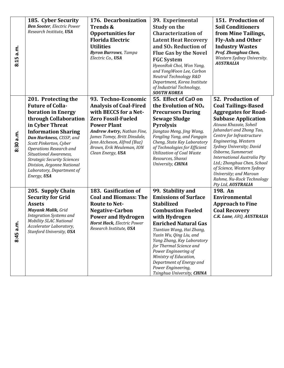|           | 185. Cyber Security                                | 176. Decarbonization                                       | 39. Experimental                                        | 151. Production of                                         |
|-----------|----------------------------------------------------|------------------------------------------------------------|---------------------------------------------------------|------------------------------------------------------------|
|           | <b>Ben Sooter, Electric Power</b>                  | Trends &                                                   | <b>Study on the</b>                                     | <b>Soil Conditioners</b>                                   |
|           | Research Institute, USA                            | <b>Opportunities for</b>                                   | <b>Characterization of</b>                              | from Mine Tailings,                                        |
|           |                                                    | <b>Florida Electric</b>                                    | <b>Latent Heat Recovery</b>                             | <b>Fly-Ash and Other</b>                                   |
|           |                                                    | <b>Utilities</b>                                           | and SO <sub>x</sub> Reduction of                        | <b>Industry Wastes</b>                                     |
|           |                                                    | <b>Byron Burrows</b> , Tampa                               | <b>Flue Gas by the Novel</b>                            | Prof. Zhonghua Chen,                                       |
| 8:15 a.m. |                                                    | Electric Co., USA                                          | <b>FGC System</b>                                       | Western Sydney University.                                 |
|           |                                                    |                                                            | HyeonRok Choi, Won Yang,                                | <b>AUSTRALIA</b>                                           |
|           |                                                    |                                                            | and YongWoon Lee, Carbon                                |                                                            |
|           |                                                    |                                                            | Neutral Technology R&D<br>Department, Korea Institute   |                                                            |
|           |                                                    |                                                            | of Industrial Technology,                               |                                                            |
|           |                                                    |                                                            | <b>SOUTH KOREA</b>                                      |                                                            |
|           | 201. Protecting the                                | 93. Techno-Economic                                        | 55. Effect of CaO on                                    | 52. Production of                                          |
|           | <b>Future of Colla-</b>                            | <b>Analysis of Coal-Fired</b>                              | the Evolution of $NOx$                                  | <b>Coal Tailings-Based</b>                                 |
|           | boration in Energy                                 | with BECCS for a Net-                                      | <b>Precursors During</b>                                | <b>Aggregates for Road-</b>                                |
|           | through Collaboration                              | <b>Zero Fossil-Fueled</b>                                  | <b>Sewage Sludge</b>                                    | <b>Subbase Application</b>                                 |
|           | in Cyber Threat                                    | <b>Power Plant</b>                                         | <b>Pyrolysis</b>                                        | Atousa Khazaie, Soheil<br>Jahandari and Zhong Tao,         |
|           | <b>Information Sharing</b>                         | Andrew Awtry, Nathan Fine,<br>James Tomey, Britt Dinsdale, | Jiangtao Meng, Jing Wang,<br>Fengling Yang, and Fangqin | Centre for Infrastructure                                  |
|           | Dan Harkness, CISSP, and<br>Scott Pinkerton, Cyber | Jenn Atcheson, Alfred (Buz)                                | Cheng, State Key Laboratory                             | Engineering, Western                                       |
| 8:30 a.m. | Operations Research and                            | Brown, Erik Meuleman, ION                                  | of Technologies for Efficient                           | Sydney University; David                                   |
|           | Situational Awareness,                             | Clean Energy, USA                                          | <b>Utilization of Coal Waste</b>                        | Osborne, Summerset                                         |
|           | <b>Strategic Security Sciences</b>                 |                                                            | Resources, Shanxi                                       | International Australia Pty<br>Ltd.; Zhonghua Chen, School |
|           | Division, Argonne National                         |                                                            | University, CHINA                                       | of Science, Western Sydney                                 |
|           | Laboratory, Department of<br>Energy, USA           |                                                            |                                                         | University; and Maroun                                     |
|           |                                                    |                                                            |                                                         | Rahme, Nu-Rock Technology                                  |
|           |                                                    |                                                            |                                                         | Pty Ltd, AUSTRALIA                                         |
|           | 205. Supply Chain<br><b>Security for Grid</b>      | 183. Gasification of<br><b>Coal and Biomass: The</b>       | 99. Stability and<br><b>Emissions of Surface</b>        | 198. An<br>Environmental                                   |
|           | <b>Assets</b>                                      | <b>Route to Net-</b>                                       | <b>Stabilized</b>                                       | <b>Approach to Fine</b>                                    |
|           | <b>Mayank Malik, Grid</b>                          | <b>Negative-Carbon</b>                                     | <b>Combustion Fueled</b>                                | <b>Coal Recovery</b>                                       |
|           | <b>Integration Systems and</b>                     | <b>Power and Hydrogen</b>                                  | with Hydrogen                                           | C.K. Lane, ARQ, AUSTRALIA                                  |
|           | <b>Mobility SLAC National</b>                      | <b>Horst Hack, Electric Power</b>                          | <b>Enriched Natural Gas</b>                             |                                                            |
| 8:45 a.m  | Accelerator Laboratory,                            | Research Institute, USA                                    | Tiantian Wang, Hai Zhang,                               |                                                            |
|           | Stanford University, USA                           |                                                            | Yuxin Wu, Qing Liu, and                                 |                                                            |
|           |                                                    |                                                            | Yang Zhang, Key Laboratory                              |                                                            |
|           |                                                    |                                                            | for Thermal Science and                                 |                                                            |
|           |                                                    |                                                            | Power Engineering of<br>Ministry of Education,          |                                                            |
|           |                                                    |                                                            | Department of Energy and                                |                                                            |
|           |                                                    |                                                            | Power Engineering,                                      |                                                            |
|           |                                                    |                                                            | Tsinghua University, CHINA                              |                                                            |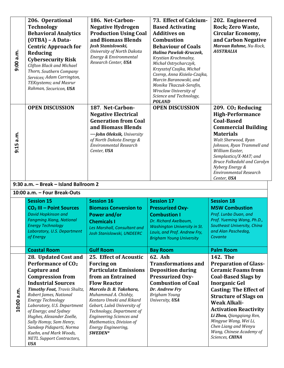| 9:00 a.m.  | 206. Operational<br><b>Technology</b><br><b>Behavioral Analytics</b><br>(OTBA) - A Data-<br><b>Centric Approach for</b><br>Reducing<br><b>Cybersecurity Risk</b><br><b>Clifton Black and Michael</b><br>Thorn, Southern Company<br>Services; Adam Carrington,<br>TEKsystems; and Masrur<br>Rahman, Securicon, USA                                                     | 186. Net-Carbon-<br><b>Negative Hydrogen</b><br><b>Production Using Coal</b><br>and Biomass Blends<br>Josh Stanislowski,<br>University of North Dakota<br>Energy & Environmental<br>Research Center, USA                                                                                                                                                 | 73. Effect of Calcium-<br><b>Based Activating</b><br><b>Additives on</b><br><b>Combustion</b><br><b>Behaviour of Coals</b><br>Halina Pawlak-Kruczek,<br>Krystian Krochmalny,<br>Michał Ostrycharczyk,<br>Krzysztof Czajka, Michał<br>Czerep, Anna Kisiela-Czajka,<br>Marcin Baranowski, and<br>Monika Tkaczuk-Serafin,<br>Wroclaw University of<br>Science and Technology,<br><b>POLAND</b> | 202. Engineered<br>Rock; Zero Waste,<br><b>Circular Economy,</b><br>and Carbon Negative<br>Maroun Rahme, Nu-Rock,<br><b>AUSTRALIA</b>                                                                                                                                                                                                      |
|------------|-----------------------------------------------------------------------------------------------------------------------------------------------------------------------------------------------------------------------------------------------------------------------------------------------------------------------------------------------------------------------|----------------------------------------------------------------------------------------------------------------------------------------------------------------------------------------------------------------------------------------------------------------------------------------------------------------------------------------------------------|---------------------------------------------------------------------------------------------------------------------------------------------------------------------------------------------------------------------------------------------------------------------------------------------------------------------------------------------------------------------------------------------|--------------------------------------------------------------------------------------------------------------------------------------------------------------------------------------------------------------------------------------------------------------------------------------------------------------------------------------------|
| 9:15 a.m.  | <b>OPEN DISCUSSION</b>                                                                                                                                                                                                                                                                                                                                                | 187. Net-Carbon-<br><b>Negative Electrical</b><br><b>Generation from Coal</b><br>and Biomass Blends<br>-John Oleksik, University<br>of North Dakota Energy &<br><b>Environmental Research</b><br>Center, USA                                                                                                                                             | <b>OPEN DISCUSSION</b>                                                                                                                                                                                                                                                                                                                                                                      | 209. CO <sub>2</sub> Reducing<br><b>High-Performance</b><br><b>Coal-Based</b><br><b>Commercial Building</b><br><b>Materials</b><br>Walt Sherwood, Ryan<br>Johnson, Ryan Trammell and<br>William Easter,<br>Semplastics/X-MAT; and<br><b>Bruce Folkedahl and Carolyn</b><br>Nyberg Energy &<br><b>Environmental Research</b><br>Center, USA |
|            | 9:30 a.m. - Break - Island Ballroom 2<br>10:00 a.m. - Four Break-Outs                                                                                                                                                                                                                                                                                                 |                                                                                                                                                                                                                                                                                                                                                          |                                                                                                                                                                                                                                                                                                                                                                                             |                                                                                                                                                                                                                                                                                                                                            |
|            | <b>Session 15</b><br>CO <sub>2</sub> III - Point Sources<br><b>David Hopkinson and</b><br><b>Fangming Xiang, National</b><br><b>Energy Technology</b><br>Laboratory, U.S. Department<br>of Energy                                                                                                                                                                     | <b>Session 16</b><br><b>Biomass Conversion to</b><br><b>Power and/or</b><br><b>Chemicals I</b><br>Les Marshall, Consultant and<br>Josh Stanislowski, UNDEERC                                                                                                                                                                                             | <b>Session 17</b><br><b>Pressurized Oxy-</b><br><b>Combustion I</b><br>Dr. Richard Axelbaum,<br><b>Washington University in St.</b><br>Louis, and Prof. Andrew Fry,<br><b>Brigham Young University</b>                                                                                                                                                                                      | <b>Session 18</b><br><b>MSW Combustion</b><br>Prof. Lunbo Duan, and<br>Prof. Yueming Wang, Ph.D.,<br>Southeast University, China<br>and Alan Paschedag,<br>Covanta                                                                                                                                                                         |
|            | <b>Coastal Room</b>                                                                                                                                                                                                                                                                                                                                                   | <b>Gulf Room</b>                                                                                                                                                                                                                                                                                                                                         | <b>Bay Room</b>                                                                                                                                                                                                                                                                                                                                                                             | <b>Palm Room</b>                                                                                                                                                                                                                                                                                                                           |
| 10:00 a.m. | 28. Updated Cost and<br><b>Performance of CO<sub>2</sub></b><br><b>Capture and</b><br><b>Compression from</b><br><b>Industrial Sources</b><br>Timothy Fout, Travis Shultz,<br>Robert James, National<br>Energy Technology<br>Laboratory, U.S. Department<br>of Energy; and Sydney<br>Hughes, Alexander Zoelle,<br>Sally Homsy, Sam Henry,<br>Sandeep Pidaparti, Norma | 25. Effect of Acoustic<br><b>Forcing on</b><br><b>Particulate Emissions</b><br>from an Entrained<br><b>Flow Reactor</b><br>Marcelo D. B. Takehara,<br>Muhammad A. Chishty,<br>Kentaro Umeki and Rikard<br>Gebart, Luleå University of<br>Technology, Department of<br><b>Engineering Sciences and</b><br>Mathematics, Division of<br>Energy Engineering, | 62. Ash<br><b>Transformations and</b><br><b>Deposition during</b><br><b>Pressurized Oxy-</b><br><b>Combustion of Coal</b><br>Dr. Andrew Fry<br>Brigham Young<br>University, USA                                                                                                                                                                                                             | 142. The<br><b>Preparation of Glass-</b><br><b>Ceramic Foams from</b><br><b>Coal-Based Slags by</b><br><b>Inorganic Gel</b><br><b>Casting: The Effect of</b><br><b>Structure of Slags on</b><br><b>Weak Alkali-</b><br><b>Activation Reactivity</b><br>Li Zhou, Qiangqiang Ren,<br>Mingyue Wang, Wei Li,<br>Chen Liang and Wenyu           |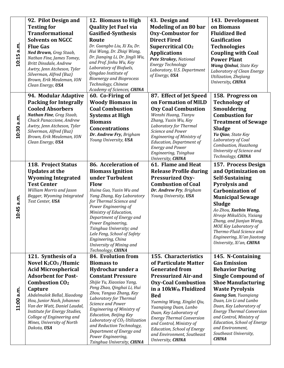|            | 92. Pilot Design and                                          | 12. Biomass to High                                   | 43. Design and                                               | 143. Development                                            |
|------------|---------------------------------------------------------------|-------------------------------------------------------|--------------------------------------------------------------|-------------------------------------------------------------|
|            | <b>Testing for</b>                                            | <b>Quality Jet Fuel via</b>                           | <b>Modeling of an 80 bar</b>                                 | on Biomass                                                  |
|            | <b>Transformational</b>                                       | <b>Gasified-Synthesis</b>                             | <b>Oxy-Combustor for</b>                                     | <b>Fluidized Bed</b>                                        |
|            | <b>Solvents on NGCC</b>                                       | Route                                                 | <b>Direct Fired</b>                                          | Gasification                                                |
|            | <b>Flue Gas</b>                                               | Dr. Guangbo Liu, Xi Xu, Dr.                           | Supercritical CO <sub>2</sub>                                | <b>Technologies</b>                                         |
|            | Ned Brown, Greg Staab,                                        | Hui Wang, Dr. Zhiqi Wang,                             | <b>Applications</b>                                          | <b>Coupling with Coal</b>                                   |
| 10:15 a.m. | Nathan Fine, James Tomey,                                     | Dr. Jianqing Li, Dr. Jingli Wu,                       | Pete Strakey, National                                       | <b>Power Plant</b>                                          |
|            | Britt Dinsdale, Andrew                                        | and Prof. Jinhu Wu, Key                               | Energy Technology                                            | Wang Qinhui, State Key                                      |
|            | Awtry, Jenn Atcheson, Tyler                                   | Laboratory of Biofuels,<br>Qingdao Institute of       | Laboratory, U.S. Department                                  | Laboratory of Clean Energy                                  |
|            | Silverman, Alfred (Buz)<br>Brown, Erik Meuleman, ION          | <b>Bioenergy and Bioprocess</b>                       | of Energy, USA                                               | Utilization, Zhejiang                                       |
|            | Clean Energy, USA                                             | Technology, Chinese                                   |                                                              | University, CHINA                                           |
|            |                                                               | Academy of Sciences, CHINA                            |                                                              |                                                             |
|            | 94. Modular Adaptive                                          | 60. Co-Firing of                                      | 87. Effect of Jet Speed                                      | 158. Progress on                                            |
|            | <b>Packing for Integrally</b>                                 | <b>Woody Biomass in</b>                               | on Formation of MILD                                         | <b>Technology of</b>                                        |
|            | <b>Cooled Absorbers</b>                                       | <b>Coal Combustion</b>                                | <b>Oxy Coal Combustion</b>                                   | <b>Smouldering</b>                                          |
|            | Nathan Fine, Greg Staab,                                      | <b>Systems at High</b>                                | Wenshi Huang, Tianyu                                         | <b>Combustion for</b>                                       |
|            | Chuck Panaccione, Andrew                                      | <b>Biomass</b>                                        | Zhang, Yuxin Wu, Key                                         | <b>Treatment of Sewage</b>                                  |
|            | Awtry, Jenn Atcheson, Tyler                                   | <b>Concentrations</b>                                 | Laboratory for Thermal                                       | <b>Sludge</b>                                               |
| 10:30 a.m. | Silverman, Alfred (Buz)<br>Brown, Erik Meuleman, ION          | Dr. Andrew Fry, Brigham                               | Science and Power<br><b>Engineering of Ministry of</b>       | Yu Qiao, State Key                                          |
|            | Clean Energy, USA                                             | Young University, USA                                 | <b>Education, Department of</b>                              | Laboratory of Coal                                          |
|            |                                                               |                                                       | <b>Energy and Power</b>                                      | Combustion, Huazhong                                        |
|            |                                                               |                                                       | Engineering, Tsinghua                                        | University of Science and<br>Technology, CHINA              |
|            |                                                               |                                                       | University, CHINA                                            |                                                             |
|            | 118. Project Status                                           | 86. Acceleration of                                   | 61. Flame and Heat                                           | 157. Process Design                                         |
|            | <b>Updates at the</b>                                         | <b>Biomass Ignition</b>                               | <b>Release Profile during</b>                                | and Optimization on                                         |
|            | <b>Wyoming Integrated</b>                                     | under Turbulent                                       | <b>Pressurized Oxy-</b>                                      | <b>Self-Sustaining</b>                                      |
|            | <b>Test Center</b>                                            | Flow                                                  | <b>Combustion of Coal</b>                                    | <b>Pyrolysis and</b>                                        |
|            | William Morris and Jason                                      | Huina Guo, Yuxin Wu and                               | Dr. Andrew Fry, Brigham                                      | <b>Carbonization of</b>                                     |
| 10:45 a.m. | Begger, Wyoming Integrated<br>Test Center, USA                | Yang Zhang, Key Laboratory<br>for Thermal Science and | Young University, USA                                        | <b>Municipal Sewage</b>                                     |
|            |                                                               | Power Engineering of                                  |                                                              | <b>Sludge</b>                                               |
|            |                                                               | Ministry of Education,                                |                                                              | Ao Zhou, Xuebin Wang,                                       |
|            |                                                               | Department of Energy and                              |                                                              | Hrvoje Mikulčićn, Yixiang<br>Zhang, and Jianjun Wang,       |
|            |                                                               | Power Engineering,                                    |                                                              | MOE Key Laboratory of                                       |
|            |                                                               | Tsinghua University; and                              |                                                              | Thermo-Fluid Science and                                    |
|            |                                                               | Lele Feng, School of Safety<br>Engineering, China     |                                                              | Engineering, Xi'an Jiaotong                                 |
|            |                                                               | University of Mining and                              |                                                              | University, Xi'an, CHINA                                    |
|            |                                                               | Technology, CHINA                                     |                                                              |                                                             |
|            | 121. Synthesis of a                                           | 84. Evolution from                                    | 155. Characteristics                                         | 145. N-Containing                                           |
|            | Novel K <sub>2</sub> CO <sub>3</sub> /Humic                   | <b>Biomass to</b>                                     | of Particulate Matter                                        | <b>Gas Emission</b>                                         |
|            | <b>Acid Microspherical</b>                                    | Hydrochar under a                                     | <b>Generated from</b>                                        | <b>Behavior During</b>                                      |
|            | <b>Adsorbent for Post-</b>                                    | <b>Constant Pressure</b>                              | <b>Pressurized Air-and</b>                                   | <b>Single Compound of</b>                                   |
|            | <b>Combustion CO<sub>2</sub></b>                              | Shijie Yu, Xiaoxiao Yang,                             | <b>Oxy-Coal Combustion</b>                                   | <b>Shoe Manufacturing</b>                                   |
|            | Capture                                                       | Peng Zhao, Qinghai Li, Hui                            | in a 10kW <sub>th</sub> Fluidized                            | <b>Waste Pyrolysis</b>                                      |
|            | Abdelmalek Bellal, Xiaodong                                   | Zhou, Yanguo Zhang, Key<br>Laboratory for Thermal     | <b>Bed</b>                                                   | <b>Guang Sun</b> , Yuangiang                                |
| 11:00 a.m. | Hou, Junior Nash, Johannes                                    | Science and Power                                     | Yueming Wang, Xinglei Qiu,                                   | Duan, Lin Li and Lunbo                                      |
|            | Van der Watt, Daniel Laudal,<br>Institute for Energy Studies, | <b>Engineering of Ministry of</b>                     | Yuanqiang Duan, Lunbo                                        | Duan, Key Laboratory of<br><b>Energy Thermal Conversion</b> |
|            | College of Engineering and                                    | Education, Beijing Key                                | Duan, Key Laboratory of                                      | and Control, Ministry of                                    |
|            | Mines, University of North                                    | Laboratory of CO <sub>2</sub> Utilization             | <b>Energy Thermal Conversion</b><br>and Control, Ministry of | <b>Education, School of Energy</b>                          |
|            | Dakota, USA                                                   | and Reduction Technology,                             | <b>Education, School of Energy</b>                           | and Environment,                                            |
|            |                                                               | Department of Energy and<br>Power Engineering,        | and Environment, Southeast                                   | Southeast University,                                       |
|            |                                                               | Tsinghua University, CHINA                            | University, CHINA                                            | <b>CHINA</b>                                                |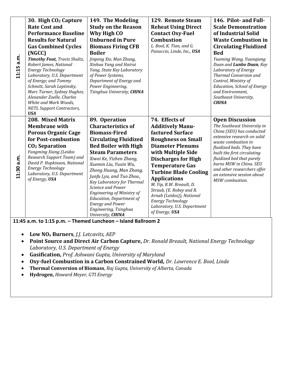| 11:15 a.m. | 30. High CO <sub>2</sub> Capture<br><b>Rate Cost and</b><br><b>Performance Baseline</b><br><b>Results for Natural</b><br><b>Gas Combined Cycles</b><br>(NGCC)<br>Timothy Fout, Travis Shultz,<br>Robert James, National<br>Energy Technology<br>Laboratory, U.S. Department<br>of Energy; and Tommy<br>Schmitt, Sarah Leptinsky,<br>Marc Turner, Sydney Hughes,<br>Alexander Zoelle, Charles<br>White and Mark Woods,<br><b>NETL Support Contractors,</b><br><b>USA</b> | 149. The Modeling<br><b>Study on the Reason</b><br>Why High CO<br><b>Unburned in Pure</b><br><b>Biomass Firing CFB</b><br><b>Boiler</b><br>Jinpeng Xie, Man Zhang,<br>Xinhua Yang and Hairui<br>Yang, State Key Laboratory<br>of Power Systems,<br>Department of Energy and<br>Power Engineering,<br>Tsinghua University, CHINA                                                                                                                                             | 129. Remote Steam<br><b>Reheat Using Direct</b><br><b>Contact Oxy-Fuel</b><br><b>Combustion</b><br>L. Bool, K. Tian, and G.<br>Panuccio, Linde, Inc., USA                                                                                                                                                                                                                                                                    | 146. Pilot- and Full-<br><b>Scale Demonstration</b><br>of Industrial Solid<br><b>Waste Combustion in</b><br><b>Circulating Fluidized</b><br><b>Bed</b><br>Yueming Wang, Yuanqiang<br>Duan and Lunbo Duan, Key<br>Laboratory of Energy<br><b>Thermal Conversion and</b><br>Control, Ministry of<br><b>Education, School of Energy</b><br>and Environment,<br>Southeast University,<br><b>CHINA</b> |
|------------|-------------------------------------------------------------------------------------------------------------------------------------------------------------------------------------------------------------------------------------------------------------------------------------------------------------------------------------------------------------------------------------------------------------------------------------------------------------------------|-----------------------------------------------------------------------------------------------------------------------------------------------------------------------------------------------------------------------------------------------------------------------------------------------------------------------------------------------------------------------------------------------------------------------------------------------------------------------------|------------------------------------------------------------------------------------------------------------------------------------------------------------------------------------------------------------------------------------------------------------------------------------------------------------------------------------------------------------------------------------------------------------------------------|---------------------------------------------------------------------------------------------------------------------------------------------------------------------------------------------------------------------------------------------------------------------------------------------------------------------------------------------------------------------------------------------------|
| 11:30 a.m. | 208. Mixed Matrix<br><b>Membrane with</b><br><b>Porous Organic Cage</b><br>for Post-combustion<br>$CO2$ Separation<br>Fangming Xiang (Leidos<br>Research Support Team) and<br>David P. Hopkinson, National<br><b>Energy Technology</b><br>Laboratory, U.S. Department<br>of Energy, USA                                                                                                                                                                                 | 89. Operation<br><b>Characteristics of</b><br><b>Biomass-Fired</b><br><b>Circulating Fluidized</b><br><b>Bed Boiler with High</b><br><b>Steam Parameters</b><br>Xiwei Ke, Yizhen Zhang,<br>Xuemin Liu, Yuxin Wu,<br>Zhong Huang, Man Zhang,<br>Junfu Lyu, and Tuo Zhou,<br>Key Laboratory for Thermal<br><b>Science and Power</b><br>Engineering of Ministry of<br><b>Education, Department of</b><br><b>Energy and Power</b><br>Engineering, Tsinghua<br>University, CHINA | 74. Effects of<br><b>Additively Manu-</b><br><b>factured Surface</b><br><b>Roughness on Small</b><br><b>Diameter Plenums</b><br>with Multiple Side<br><b>Discharges for High</b><br><b>Temperature Gas</b><br><b>Turbine Blade Cooling</b><br><b>Applications</b><br>M. Yip, R.W. Breault, D.<br>Straub, (E. Robey and R.<br>Arnab (Leidos)), National<br>Energy Technology<br>Laboratory, U.S. Department<br>of Energy, USA | <b>Open Discussion</b><br>The Southeast University in<br>China (SEU) has conducted<br>extensive research on solid<br>waste combustion in<br>fluidized beds. They have<br>built the first circulating<br>fluidized bed that purely<br>burns MSW in China. SEU<br>and other researchers offer<br>an extensive session about<br>MSW combustion.                                                      |

**11:45 a.m. to 1:15 p.m. – Themed Luncheon – Island Ballroom 2**

- **Low NO<sup>x</sup> Burners**, *J.J. Letcavits, AEP*
- **Point Source and Direct Air Carbon Capture,** *Dr. Ronald Breault, National Energy Technology Laboratory, U.S. Department of Energy*
- **Gasification,** *Prof. Ashwani Gupta, University of Maryland*
- **Oxy-fuel Combustion in a Carbon Constrained World,** *Dr. Lawrence E. Bool, Linde*
- **Thermal Conversion of Biomass**, *Raj Gupta, University of Alberta, Canada*
- **Hydrogen,** *Howard Meyer, GTI Energy*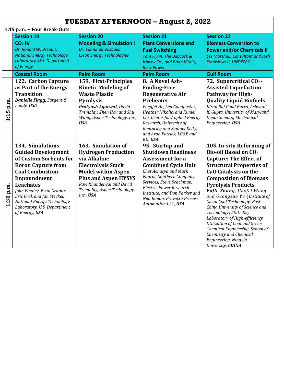|           | <b>TUESDAY AFTERNOON - August 2, 2022</b>                                                                                                                                                                                                                                                                              |                                                                                                                                                                                                                                    |                                                                                                                                                                                                                                                                                                                   |                                                                                                                                                                                                                                                                                                                                                                                                                                                                                                                                                                           |  |
|-----------|------------------------------------------------------------------------------------------------------------------------------------------------------------------------------------------------------------------------------------------------------------------------------------------------------------------------|------------------------------------------------------------------------------------------------------------------------------------------------------------------------------------------------------------------------------------|-------------------------------------------------------------------------------------------------------------------------------------------------------------------------------------------------------------------------------------------------------------------------------------------------------------------|---------------------------------------------------------------------------------------------------------------------------------------------------------------------------------------------------------------------------------------------------------------------------------------------------------------------------------------------------------------------------------------------------------------------------------------------------------------------------------------------------------------------------------------------------------------------------|--|
|           | 1:15 p.m. - Four Break-Outs                                                                                                                                                                                                                                                                                            |                                                                                                                                                                                                                                    |                                                                                                                                                                                                                                                                                                                   |                                                                                                                                                                                                                                                                                                                                                                                                                                                                                                                                                                           |  |
|           | <b>Session 19</b><br>CO <sub>2</sub> IV<br>Dr. Ronald W. Breault,<br><b>National Energy Technology</b><br>Laboratory, U.S. Department<br>of Energy                                                                                                                                                                     | <b>Session 20</b><br><b>Modeling &amp; Simulation I</b><br>Dr. Edmundo Vasquez<br><b>Clean Energy Technologies</b>                                                                                                                 | <b>Session 21</b><br><b>Plant Conversions and</b><br><b>Fuel Switching</b><br>Tom Flynn, The Babcock &<br><b>Wilcox Co., and Brian Vitalis,</b><br><b>Riley Power</b>                                                                                                                                             | <b>Session 22</b><br><b>Biomass Conversion to</b><br><b>Power and/or Chemicals II</b><br>Les Marshall, Consultant and Josh<br>Stanislowski, UNDEERC                                                                                                                                                                                                                                                                                                                                                                                                                       |  |
|           | <b>Coastal Room</b>                                                                                                                                                                                                                                                                                                    | <b>Palm Room</b>                                                                                                                                                                                                                   | <b>Palm Room</b>                                                                                                                                                                                                                                                                                                  | <b>Gulf Room</b>                                                                                                                                                                                                                                                                                                                                                                                                                                                                                                                                                          |  |
| 1:15 p.m. | 122. Carbon Capture<br>as Part of the Energy<br><b>Transition</b><br>Danielle Flagg, Sargent &<br>Lundy, USA                                                                                                                                                                                                           | 159. First-Principles<br><b>Kinetic Modeling of</b><br><b>Waste Plastic</b><br><b>Pyrolysis</b><br>Pratyush Agarwal, David<br>Tremblay, Zhen Hou and Shu<br>Wang, Aspen Technology, Inc.,<br><b>USA</b>                            | 8. A Novel Ash-<br><b>Fouling-Free</b><br><b>Regenerative Air</b><br>Preheater<br>Pengfei He, Len Goodpaster,<br>Heather Nikolic, and Kunlei<br>Liu, Center for Applied Energy<br>Research, University of<br>Kentucky; and Samuel Kelty,<br>and Aron Patrick, LG&E and<br>KU, USA                                 | 72. Supercritical CO <sub>2</sub> -<br><b>Assisted Liquefaction</b><br>Pathway for High-<br><b>Quality Liquid Biofuels</b><br>Kiran Raj Goud Burra, Ashwani<br>K. Gupta, University of Maryland,<br>Department of Mechanical<br>Engineering, USA                                                                                                                                                                                                                                                                                                                          |  |
| 1:30 p.m. | 134. Simulations-<br><b>Guided Development</b><br>of Custom Sorbents for<br><b>Boron Capture from</b><br><b>Coal Combustion</b><br>Impoundment<br><b>Leachates</b><br>John Findley, Evan Granite,<br>Eric Grol, and Jan Steckel,<br><b>National Energy Technology</b><br>Laboratory, U.S. Department<br>of Energy, USA | 163. Simulation of<br><b>Hydrogen Production</b><br>via Alkaline<br><b>Electrolysis Stack</b><br><b>Model within Aspen</b><br><b>Plus and Aspen HYSYS</b><br>Ravi Khandelwal and David<br>Tremblay, Aspen Technology,<br>Inc., USA | 95. Startup and<br><b>Shutdown Readiness</b><br><b>Assessment for a</b><br><b>Combined Cycle Unit</b><br>Chet Acharya and Mark<br>Faurot, Southern Company<br>Services; Steve Seachman,<br><b>Electric Power Research</b><br>Institute; and Don Parker and<br>Neil Ronan, Provecta Process<br>Automation LLC, USA | 105. In-situ Reforming of<br><b>Bio-oil Based on CO<sub>2</sub></b><br><b>Capture: The Effect of</b><br><b>Structural Properties of</b><br><b>CaO Catalysts on the</b><br><b>Composition of Biomass</b><br><b>Pyrolysis Products</b><br>Yujie Zhang, Jiaofei Wang<br>and Guangsuo Yu (Institute of<br>Clean Coal Technology, East<br>China University of Science and<br>Technology) State Key<br>Laboratory of High-efficiency<br>Utilization of Coal and Green<br>Chemical Engineering, School of<br>Chemistry and Chemical<br>Engineering, Ningxia<br>University, CHINA |  |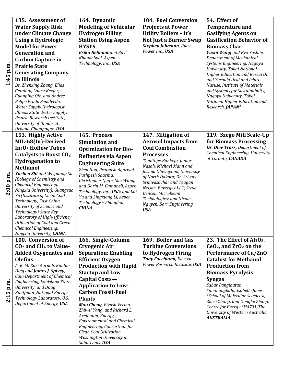|             | 135. Assessment of                                        | 164. Dynamic                                     | <b>104. Fuel Conversion</b>                               | 54. Effect of                                                        |
|-------------|-----------------------------------------------------------|--------------------------------------------------|-----------------------------------------------------------|----------------------------------------------------------------------|
|             | <b>Water Supply Risk</b>                                  | <b>Modeling of Vehicular</b>                     | <b>Projects at Power</b>                                  | <b>Temperature and</b>                                               |
|             | under Climate Change                                      | <b>Hydrogen Filling</b>                          | <b>Utility Boilers - It's</b>                             | <b>Gasifying Agents on</b>                                           |
|             | <b>Using a Hydrologic</b>                                 | <b>Station Using Aspen</b>                       | <b>Not Just a Burner Swap</b>                             | <b>Gasification Behavior of</b>                                      |
|             | <b>Model for Power</b>                                    | <b>HYSYS</b>                                     | <b>Stephen Johnston, Riley</b>                            | <b>Biomass Char</b>                                                  |
|             | <b>Generation and</b>                                     | <b>Erika Belmont</b> and Ravi                    | Power Inc., USA                                           | Yuxin Wang and Ryo Yoshiie,                                          |
|             | <b>Carbon Capture in</b>                                  | Khandelwal, Aspen                                |                                                           | Department of Mechanical                                             |
|             | <b>Prairie State</b>                                      | Technology, Inc., USA                            |                                                           | Systems Engineering, Nagoya                                          |
| 1:45 p.m.   | <b>Generating Company</b>                                 |                                                  |                                                           | University, Tokai National                                           |
|             | in Illinois                                               |                                                  |                                                           | <b>Higher Education and Research;</b><br>and Yasuaki Ueki and Ichiro |
|             | Dr. Zhenxing Zhang, Elias                                 |                                                  |                                                           | Naruse, Institute of Materials                                       |
|             | Getahun, Laura Keefer,                                    |                                                  |                                                           | and Systems for Sustainability,                                      |
|             | Guanping Qie, and Andres                                  |                                                  |                                                           | Nagoya University, Tokai                                             |
|             | Felipe Prada Sepulveda,                                   |                                                  |                                                           | National Higher Education and                                        |
|             | Water Supply Hydrologist,                                 |                                                  |                                                           | Research, JAPAN*                                                     |
|             | Illinois State Water Supply,                              |                                                  |                                                           |                                                                      |
|             | Prairie Research Institute,<br>University of Illinois at  |                                                  |                                                           |                                                                      |
|             | Urbana-Champagne, USA                                     |                                                  |                                                           |                                                                      |
|             | 153. Highly Active                                        | 165. Process                                     | 147. Mitigation of                                        | 119. Szego Mill Scale-Up                                             |
|             | MIL-68(In)-Derived                                        | <b>Simulation and</b>                            | <b>Aerosol Impacts from</b>                               | for Biomass Processing                                               |
|             | <b>In<sub>2</sub>O<sub>3</sub> Hollow Tubes</b>           | <b>Optimization for Bio-</b>                     | <b>Coal Combustion</b>                                    | Dr. Olev Trass, Department of                                        |
|             | <b>Catalysts to Boost CO2</b>                             |                                                  | <b>Processes</b>                                          | Chemical Engineering, University                                     |
|             | <b>Hydrogenation to</b>                                   | <b>Refineries via Aspen</b>                      | Temitope Bankefa, Junior                                  | of Toronto, CANADA                                                   |
|             | <b>Methanol</b>                                           | <b>Engineering Suite</b>                         | Nasah, Michael Mann and                                   |                                                                      |
|             | Yuchen Shi and Weiguang Su                                | Zhen Hou, Pratyush Agarwal,<br>Pushpesh Sharma,  | Joshua Oluwayomi, University                              |                                                                      |
| $2:00$ p.m. | (College of Chemistry and                                 | Christopher Quan, Shu Wang,                      | of North Dakota; Dr. Srivats                              |                                                                      |
|             | Chemical Engineering,                                     | and Darin M. Campbell, Aspen                     | Srinivasachar and Teagan<br>Nelson, Envergex LLC; Steve   |                                                                      |
|             | Ningxia University), Guangsuo                             | Technology, Inc., USA; and Lili                  | Benson, Microbeam                                         |                                                                      |
|             | Yu (Institute of Clean Coal<br>Technology, East China     | Yu and Lingxiang Li, Aspen                       | Technologies; and Nicole                                  |                                                                      |
|             | University of Science and                                 | Technology - Shanghai,                           | Nguyen, Barr Engineering,                                 |                                                                      |
|             | Technology) State Key                                     | <b>CHINA</b>                                     | <b>USA</b>                                                |                                                                      |
|             | Laboratory of High-efficiency                             |                                                  |                                                           |                                                                      |
|             | Utilization of Coal and Green                             |                                                  |                                                           |                                                                      |
|             | Chemical Engineering,                                     |                                                  |                                                           |                                                                      |
|             | Ningxia University, CHINA                                 |                                                  |                                                           |                                                                      |
|             | 100. Conversion of                                        | 166. Single-Column                               | 169. Boiler and Gas                                       | 23. The Effect of $Al_2O_3$ ,                                        |
|             | CO <sub>2</sub> and CH <sub>4</sub> to Value-             | Cryogenic Air                                    | <b>Turbine Conversions</b>                                | $CeO2$ , and $ZrO2$ on the                                           |
|             | <b>Added Oxygenates and</b>                               | <b>Separation: Enabling</b>                      | to Hydrogen Firing                                        | <b>Performance of Cu/ZnO</b>                                         |
|             | <b>Olefins</b>                                            | <b>Efficient Oxygen</b>                          | Tony Facchiano, Electric<br>Power Research Institute, USA | <b>Catalyst for Methanol</b>                                         |
|             | A. K. M. Kazi Aurnob, Kunlun<br>Ding and James J. Spivey, | <b>Production with Rapid</b>                     |                                                           | <b>Production from</b>                                               |
|             | <b>Cain Department of Chemical</b>                        | <b>Startup and Low</b>                           |                                                           | <b>Biomass Pyrolysis</b>                                             |
|             | Engineering, Louisiana State                              | Capital Costs-                                   |                                                           | <b>Syngas</b>                                                        |
| p.m.        | University; and Doug                                      | <b>Application to Low-</b>                       |                                                           | Sabar Pangihutan                                                     |
| LO,         | Kauffman, National Energy                                 | <b>Carbon Fossil-Fuel</b>                        |                                                           | Simanungkalit, Isabelle Jones<br>(School of Molecular Sciences),     |
| 2:1         | Technology Laboratory, U.S.                               | <b>Plants</b>                                    |                                                           | Zhezi Zhang, and Dongke Zhang,                                       |
|             | Department of Energy, USA                                 | Mao Cheng, Piyush Verma,                         |                                                           | Centre for Energy (M473), The                                        |
|             |                                                           | Zhiwei Yang, and Richard L.<br>Axelbaum, Energy, |                                                           | University of Western Australia,                                     |
|             |                                                           | <b>Environmental and Chemical</b>                |                                                           | <b>AUSTRALIA</b>                                                     |
|             |                                                           | Engineering, Consortium for                      |                                                           |                                                                      |
|             |                                                           | Clean Coal Utilization,                          |                                                           |                                                                      |
|             |                                                           | Washington University in                         |                                                           |                                                                      |
|             |                                                           | Saint Louis, USA                                 |                                                           |                                                                      |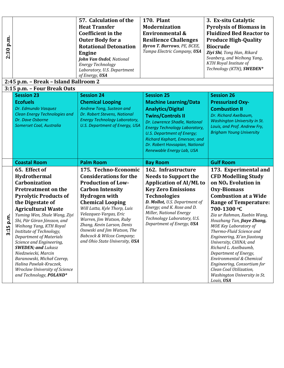|           |                                                          | 57. Calculation of the                                 | <b>170. Plant</b>                                     | 3. Ex-situ Catalytic                                    |
|-----------|----------------------------------------------------------|--------------------------------------------------------|-------------------------------------------------------|---------------------------------------------------------|
|           |                                                          | <b>Heat Transfer</b>                                   | <b>Modernization</b>                                  | <b>Pyrolysis of Biomass in</b>                          |
|           |                                                          | <b>Coefficient in the</b>                              | <b>Environmental &amp;</b>                            | <b>Fluidized Bed Reactor to</b>                         |
|           |                                                          | <b>Outer Body for a</b>                                | <b>Resilience Challenges</b>                          | <b>Produce High-Quality</b>                             |
| 2:30 p.m. |                                                          | <b>Rotational Detonation</b>                           | <b>Byron T. Burrows</b> , PE, BCEE,                   | <b>Biocrude</b>                                         |
|           |                                                          | <b>Engine</b>                                          | Tampa Electric Company, USA                           | Ziyi Shi, Tong Han, Rikard                              |
|           |                                                          | John Van Osdol, National                               |                                                       | Svanberg, and Weihong Yang,                             |
|           |                                                          | <b>Energy Technology</b>                               |                                                       | <b>KTH</b> Royal Institute of                           |
|           |                                                          | Laboratory, U.S. Department                            |                                                       | Technology (KTH), SWEDEN*                               |
|           |                                                          | of Energy, USA                                         |                                                       |                                                         |
|           | 2:45 p.m. - Break - Island Ballroom 2                    |                                                        |                                                       |                                                         |
|           | 3:15 p.m. - Four Break Outs                              |                                                        |                                                       |                                                         |
|           | <b>Session 23</b>                                        | <b>Session 24</b>                                      | <b>Session 25</b>                                     | <b>Session 26</b>                                       |
|           | <b>Ecofuels</b>                                          | <b>Chemical Looping</b>                                | <b>Machine Learning/Data</b>                          | <b>Pressurized Oxy-</b>                                 |
|           | Dr. Edmundo Vasquez                                      | Andrew Tong, Susteon and                               | <b>Analytics/Digital</b>                              | <b>Combustion II</b>                                    |
|           | <b>Clean Energy Technologies and</b>                     | Dr. Robert Stevens, National                           | <b>Twins/Controls II</b>                              | Dr. Richard Axelbaum,                                   |
|           | Dr. Dave Osborne                                         | <b>Energy Technology Laboratory,</b>                   | Dr. Lawrence Shadle, National                         | <b>Washington University in St.</b>                     |
|           | Somerset Coal, Australia                                 | U.S. Department of Energy, USA                         | <b>Energy Technology Laboratory,</b>                  | Louis, and Prof. Andrew Fry,                            |
|           |                                                          |                                                        | U.S. Department of Energy;                            | <b>Brigham Young University</b>                         |
|           |                                                          |                                                        | Richard Kephart, Emerson; and                         |                                                         |
|           |                                                          |                                                        | Dr. Robert Hovsapian, National                        |                                                         |
|           |                                                          |                                                        | Renewable Energy Lab, USA                             |                                                         |
|           |                                                          |                                                        |                                                       |                                                         |
|           | <b>Coastal Room</b>                                      | <b>Palm Room</b>                                       | <b>Bay Room</b>                                       | <b>Gulf Room</b>                                        |
|           | 65. Effect of                                            | 175. Techno-Economic                                   | 162. Infrastructure                                   |                                                         |
|           |                                                          |                                                        |                                                       | 173. Experimental and                                   |
|           | Hydrothermal                                             | <b>Considerations for the</b>                          | <b>Needs to Support the</b>                           | <b>CFD Modelling Study</b>                              |
|           | Carbonization                                            | <b>Production of Low-</b>                              | <b>Application of AI/ML to</b>                        | on NO <sub>x</sub> Evolution in                         |
|           | <b>Pretreatment on the</b>                               | <b>Carbon Intensity</b>                                | <b>Key Zero Emissions</b>                             | <b>Oxy-Biomass</b>                                      |
|           | <b>Pyrolytic Products of</b>                             | <b>Hydrogen with</b>                                   | <b>Technologies</b>                                   | <b>Combustion at a Wide</b>                             |
|           | the Digestate of                                         | <b>Chemical Looping</b>                                | D. Mollot, U.S. Department of                         | <b>Range of Temperature:</b>                            |
|           | <b>Agricultural Waste</b>                                | Will Latta, Kyle Thorp, Luis                           | Energy; and K. Rose and D.<br>Miller, National Energy | 700-1300 °C                                             |
|           | Yuming Wen, Shule Wang, Ziyi                             | Velazquez-Vargas, Eric                                 | Technology Laboratory, U.S.                           | Zia ur Rahman, Xuebin Wang,                             |
| p.m.      | Shi, Pär Göran Jönsson, and                              | Warren, Jim Watson, Ruby<br>Zhang, Kevin Larson, Denis | Department of Energy, USA                             | Houzhang Tan, Jiaye Zhang,                              |
|           | Weihong Yang, KTH Royal<br>Institute of Technology,      | Osowski and Jim Watson, The                            |                                                       | MOE Key Laboratory of<br>Thermo-Fluid Science and       |
| 3:15      | <b>Department of Materials</b>                           | Babcock & Wilcox Company;                              |                                                       | Engineering, Xi'an Jiaotong                             |
|           | Science and Engineering,                                 | and Ohio State University, USA                         |                                                       | University, CHINA; and                                  |
|           | <b>SWEDEN; and Lukasz</b>                                |                                                        |                                                       | Richard L. Axelbaumb,                                   |
|           | Niedzwiecki, Marcin                                      |                                                        |                                                       | Department of Energy,                                   |
|           | Baranowski, Michał Czerep,                               |                                                        |                                                       | Environmental & Chemical                                |
|           | Halina Pawlak-Kruczek,                                   |                                                        |                                                       | Engineering, Consortium for                             |
|           | Wroclaw University of Science<br>and Technology, POLAND* |                                                        |                                                       | Clean Coal Utilization,<br>Washington University in St. |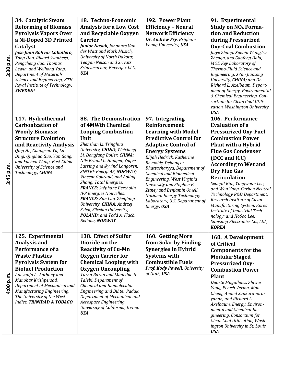|              | 34. Catalytic Steam                                                                                                                                                                                                                        | 18. Techno-Economic                                                                                                                                                      | 192. Power Plant                                         | 91. Experimental                                                                                                                                                                                                                                                                                                                                                                            |
|--------------|--------------------------------------------------------------------------------------------------------------------------------------------------------------------------------------------------------------------------------------------|--------------------------------------------------------------------------------------------------------------------------------------------------------------------------|----------------------------------------------------------|---------------------------------------------------------------------------------------------------------------------------------------------------------------------------------------------------------------------------------------------------------------------------------------------------------------------------------------------------------------------------------------------|
|              | <b>Reforming of Biomass</b>                                                                                                                                                                                                                | <b>Analysis for a Low Cost</b>                                                                                                                                           | <b>Efficiency - Neural</b>                               | <b>Study on NO<sub>x</sub> Forma-</b>                                                                                                                                                                                                                                                                                                                                                       |
|              | <b>Pyrolysis Vapors Over</b>                                                                                                                                                                                                               | and Recyclable Oxygen                                                                                                                                                    | <b>Network Efficiency</b>                                | tion and Reduction                                                                                                                                                                                                                                                                                                                                                                          |
|              | a Ni-Doped 3D Printed                                                                                                                                                                                                                      | <b>Carrier</b>                                                                                                                                                           | Dr. Andrew Fry, Brigham                                  | during Pressurized                                                                                                                                                                                                                                                                                                                                                                          |
| p.ir<br>3:30 | Catalyst<br>Jose Juan Bolivar Caballero,<br>Tong Han, Rikard Svanberg,<br>Pengcheng Cao, Thomas<br>Lewin, and Weihong Yang,<br><b>Department of Materials</b><br>Science and Engineering, KTH<br>Royal Institute of Technology,<br>SWEDEN* | Junior Nasah, Johannes Van<br>der Watt and Mark Musich,<br>University of North Dakota;<br><b>Teagan Nelson and Srivats</b><br>Srinivasachar, Envergex LLC,<br><b>USA</b> | Young University, USA                                    | <b>Oxy-Coal Combustion</b><br>Jiaye Zhang, Xuebin Wang, Yu<br>Zhenga, and Gaofeng Daia,<br>MOE Key Laboratory of<br>Thermo-Fluid Science and<br>Engineering, Xi'an Jiaotong<br>University, CHINA; and Dr.<br>Richard L. Axelbaum, Depart-<br>ment of Energy, Environmental<br>& Chemical Engineering, Con-<br>sortium for Clean Coal Utili-<br>zation, Washington University,<br><b>USA</b> |
|              | 117. Hydrothermal                                                                                                                                                                                                                          | <b>88. The Demonstration</b>                                                                                                                                             | 97. Integrating                                          | 106. Performance                                                                                                                                                                                                                                                                                                                                                                            |
|              | <b>Carbonization of</b>                                                                                                                                                                                                                    | of 4MWth Chemical                                                                                                                                                        | <b>Reinforcement</b>                                     | <b>Evaluation of a</b>                                                                                                                                                                                                                                                                                                                                                                      |
|              | <b>Woody Biomass:</b>                                                                                                                                                                                                                      | <b>Looping Combustion</b>                                                                                                                                                | <b>Learning with Model</b>                               | <b>Pressurized Oxy-Fuel</b>                                                                                                                                                                                                                                                                                                                                                                 |
|              | <b>Structure Evolution</b>                                                                                                                                                                                                                 | Unit                                                                                                                                                                     | <b>Predictive Control for</b>                            | <b>Combustion Power</b>                                                                                                                                                                                                                                                                                                                                                                     |
|              | and Reactivity Analysis                                                                                                                                                                                                                    | Zhenshan Li, Tsinghua                                                                                                                                                    | <b>Adaptive Control of</b>                               | Plant with a Hybrid                                                                                                                                                                                                                                                                                                                                                                         |
|              | Qing He, Guangsuo Yu, Lu                                                                                                                                                                                                                   | University, CHINA; Weicheng<br>Li, Dongfang Boiler, CHINA;                                                                                                               | <b>Energy Systems</b>                                    | <b>Flue Gas Condenser</b>                                                                                                                                                                                                                                                                                                                                                                   |
|              | Ding, Qinghua Guo, Yan Gong,<br>and Fuchen Wang, East China                                                                                                                                                                                | Nils Erland L. Haugen, Yngve                                                                                                                                             | Elijah Hedrick, Katherine                                | (DCC and ICC)                                                                                                                                                                                                                                                                                                                                                                               |
|              | University of Science and                                                                                                                                                                                                                  | Larring and Øyvind Langoren,                                                                                                                                             | Reynolds, Debangsu<br>Bhattacharyya, Department of       | <b>According to Wet and</b>                                                                                                                                                                                                                                                                                                                                                                 |
|              | Technology, CHINA                                                                                                                                                                                                                          | SINTEF Energi AS, NORWAY;                                                                                                                                                | <b>Chemical and Biomedical</b>                           | <b>Dry Flue Gas</b>                                                                                                                                                                                                                                                                                                                                                                         |
| 3:45 p.m     |                                                                                                                                                                                                                                            | Vincent Gouraud, and Aoling<br>Zhang, Total Energies,                                                                                                                    | Engineering, West Virginia                               | <b>Recirculation</b>                                                                                                                                                                                                                                                                                                                                                                        |
|              |                                                                                                                                                                                                                                            | FRANCE; Stéphane Bertholin,                                                                                                                                              | University and Stephen E.                                | Seongil Kim, Yongwoon Lee,<br>and Won Yang, Carbon Neutral                                                                                                                                                                                                                                                                                                                                  |
|              |                                                                                                                                                                                                                                            | IFP Energies Nouvelles,                                                                                                                                                  | Zitney and Benjamin Omell,<br>National Energy Technology | Technology R&D Department,                                                                                                                                                                                                                                                                                                                                                                  |
|              |                                                                                                                                                                                                                                            | FRANCE; Kun Luo, Zheijiang                                                                                                                                               | Laboratory, U.S. Department of                           | Research Institute of Clean                                                                                                                                                                                                                                                                                                                                                                 |
|              |                                                                                                                                                                                                                                            | University, CHINA; Andrzej<br>Szlek, Silesian University,                                                                                                                | Energy, USA                                              | Manufacturing System, Korea                                                                                                                                                                                                                                                                                                                                                                 |
|              |                                                                                                                                                                                                                                            | POLAND; and Todd A. Flach,                                                                                                                                               |                                                          | Institute of Industrial Tech-<br>nology; and HoSoo Lee,                                                                                                                                                                                                                                                                                                                                     |
|              |                                                                                                                                                                                                                                            | Bellona, NORWAY                                                                                                                                                          |                                                          | Samsung Electronics Co., Ltd.,                                                                                                                                                                                                                                                                                                                                                              |
|              |                                                                                                                                                                                                                                            |                                                                                                                                                                          |                                                          | <b>KOREA</b>                                                                                                                                                                                                                                                                                                                                                                                |
|              | 125. Experimental                                                                                                                                                                                                                          | 138. Effect of Sulfur                                                                                                                                                    | 160. Getting More                                        | 168. A Development                                                                                                                                                                                                                                                                                                                                                                          |
|              | Analysis and                                                                                                                                                                                                                               | Dioxide on the                                                                                                                                                           | from Solar by Finding                                    | of Critical                                                                                                                                                                                                                                                                                                                                                                                 |
|              | Performance of a                                                                                                                                                                                                                           | <b>Reactivity of Cu-Mn</b>                                                                                                                                               | <b>Synergies in Hybrid</b>                               | <b>Components for the</b>                                                                                                                                                                                                                                                                                                                                                                   |
|              | <b>Waste Plastics</b>                                                                                                                                                                                                                      | <b>Oxygen Carrier for</b>                                                                                                                                                | <b>Systems with</b>                                      | <b>Modular Staged</b>                                                                                                                                                                                                                                                                                                                                                                       |
|              | <b>Pyrolysis System for</b>                                                                                                                                                                                                                | <b>Chemical Looping with</b>                                                                                                                                             | <b>Combustible Fuels</b>                                 | <b>Pressurized Oxy-</b>                                                                                                                                                                                                                                                                                                                                                                     |
|              | <b>Biofuel Production</b>                                                                                                                                                                                                                  | <b>Oxygen Uncoupling</b>                                                                                                                                                 | Prof. Kody Powell, University                            | <b>Combustion Power</b>                                                                                                                                                                                                                                                                                                                                                                     |
| p.m.         | Adeyanju A. Anthony and                                                                                                                                                                                                                    | Turna Barua and Madeline H.                                                                                                                                              | of Utah, USA                                             | <b>Plant</b>                                                                                                                                                                                                                                                                                                                                                                                |
|              | Manohar Krishpersad,                                                                                                                                                                                                                       | Talebi, Department of                                                                                                                                                    |                                                          | Duarte Magalhaes, Zhiwei                                                                                                                                                                                                                                                                                                                                                                    |
| 4:00         | Department of Mechanical and<br>Manufacturing Engineering,                                                                                                                                                                                 | Chemical and Biomolecular<br>Engineering and Bihter Padak,                                                                                                               |                                                          | Yang, Piyush Verma, Mao                                                                                                                                                                                                                                                                                                                                                                     |
|              | The University of the West                                                                                                                                                                                                                 | Department of Mechanical and                                                                                                                                             |                                                          | Cheng, Anand Sankaranara-                                                                                                                                                                                                                                                                                                                                                                   |
|              | Indies, TRINIDAD & TOBAGO                                                                                                                                                                                                                  | Aerospace Engineering,                                                                                                                                                   |                                                          | yanan, and Richard L.<br>Axelbaum, Energy, Environ-                                                                                                                                                                                                                                                                                                                                         |
|              |                                                                                                                                                                                                                                            | University of California, Irvine,                                                                                                                                        |                                                          | mental and Chemical En-                                                                                                                                                                                                                                                                                                                                                                     |
|              |                                                                                                                                                                                                                                            | <b>USA</b>                                                                                                                                                               |                                                          | gineering, Consortium for                                                                                                                                                                                                                                                                                                                                                                   |
|              |                                                                                                                                                                                                                                            |                                                                                                                                                                          |                                                          | Clean Coal Utilization, Wash-                                                                                                                                                                                                                                                                                                                                                               |
|              |                                                                                                                                                                                                                                            |                                                                                                                                                                          |                                                          | ington University in St. Louis,<br><b>USA</b>                                                                                                                                                                                                                                                                                                                                               |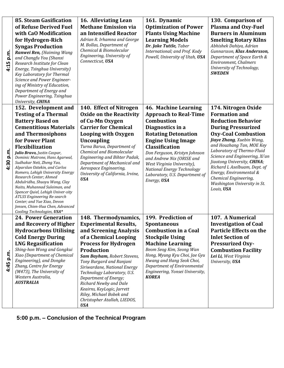|              | <b>85. Steam Gasification</b>                                                                                                                                                                                                                                                                                                             | 16. Alleviating Lean                                                                                                                                                                                                                                                                                                                                             | 161. Dynamic                                                                                                                                                                                                                                          | 130. Comparison of                                                                                                                                                                                                                                               |
|--------------|-------------------------------------------------------------------------------------------------------------------------------------------------------------------------------------------------------------------------------------------------------------------------------------------------------------------------------------------|------------------------------------------------------------------------------------------------------------------------------------------------------------------------------------------------------------------------------------------------------------------------------------------------------------------------------------------------------------------|-------------------------------------------------------------------------------------------------------------------------------------------------------------------------------------------------------------------------------------------------------|------------------------------------------------------------------------------------------------------------------------------------------------------------------------------------------------------------------------------------------------------------------|
|              | of Refuse Derived Fuel                                                                                                                                                                                                                                                                                                                    | <b>Methane Emission via</b>                                                                                                                                                                                                                                                                                                                                      | <b>Optimization of Power</b>                                                                                                                                                                                                                          | <b>Plasma and Oxy-Fuel</b>                                                                                                                                                                                                                                       |
|              | with CaO Modification                                                                                                                                                                                                                                                                                                                     | an Intensified Reactor                                                                                                                                                                                                                                                                                                                                           | <b>Plants Using Machine</b>                                                                                                                                                                                                                           | <b>Burners in Aluminum</b>                                                                                                                                                                                                                                       |
|              | for Hydrogen-Rich                                                                                                                                                                                                                                                                                                                         | Adrian R. Irhamna and George                                                                                                                                                                                                                                                                                                                                     | <b>Learning Models</b>                                                                                                                                                                                                                                | <b>Smelting Rotary Kilns</b>                                                                                                                                                                                                                                     |
| p.m.<br>4:15 | <b>Syngas Production</b>                                                                                                                                                                                                                                                                                                                  | M. Bollas, Department of                                                                                                                                                                                                                                                                                                                                         | Dr. Jake Tuttle, Taber                                                                                                                                                                                                                                | Abhishek Dahiya, Adrian                                                                                                                                                                                                                                          |
|              | Ranwei Ren, (Haiming Wang                                                                                                                                                                                                                                                                                                                 | Chemical & Biomolecular                                                                                                                                                                                                                                                                                                                                          | International; and Prof. Kody                                                                                                                                                                                                                         | Gunnarsson, Klas Andersson,                                                                                                                                                                                                                                      |
|              | and Changfu You (Shanxi                                                                                                                                                                                                                                                                                                                   | Engineering, University of                                                                                                                                                                                                                                                                                                                                       | Powell, University of Utah, USA                                                                                                                                                                                                                       | Department of Space Earth &                                                                                                                                                                                                                                      |
|              | Research Institute for Clean                                                                                                                                                                                                                                                                                                              | Connecticut, USA                                                                                                                                                                                                                                                                                                                                                 |                                                                                                                                                                                                                                                       | <b>Environment</b> , Chalmers                                                                                                                                                                                                                                    |
|              | Energy, Tsinghua University)                                                                                                                                                                                                                                                                                                              |                                                                                                                                                                                                                                                                                                                                                                  |                                                                                                                                                                                                                                                       | University of Technology,                                                                                                                                                                                                                                        |
|              | Key Laboratory for Thermal                                                                                                                                                                                                                                                                                                                |                                                                                                                                                                                                                                                                                                                                                                  |                                                                                                                                                                                                                                                       | <b>SWEDEN</b>                                                                                                                                                                                                                                                    |
|              | Science and Power Engineer-                                                                                                                                                                                                                                                                                                               |                                                                                                                                                                                                                                                                                                                                                                  |                                                                                                                                                                                                                                                       |                                                                                                                                                                                                                                                                  |
|              | ing of Ministry of Education,<br>Department of Energy and                                                                                                                                                                                                                                                                                 |                                                                                                                                                                                                                                                                                                                                                                  |                                                                                                                                                                                                                                                       |                                                                                                                                                                                                                                                                  |
|              | Power Engineering, Tsinghua                                                                                                                                                                                                                                                                                                               |                                                                                                                                                                                                                                                                                                                                                                  |                                                                                                                                                                                                                                                       |                                                                                                                                                                                                                                                                  |
|              | University, CHINA                                                                                                                                                                                                                                                                                                                         |                                                                                                                                                                                                                                                                                                                                                                  |                                                                                                                                                                                                                                                       |                                                                                                                                                                                                                                                                  |
|              | 152. Development and                                                                                                                                                                                                                                                                                                                      | 140. Effect of Nitrogen                                                                                                                                                                                                                                                                                                                                          | 46. Machine Learning                                                                                                                                                                                                                                  | 174. Nitrogen Oxide                                                                                                                                                                                                                                              |
|              | <b>Testing of a Thermal</b>                                                                                                                                                                                                                                                                                                               | <b>Oxide on the Reactivity</b>                                                                                                                                                                                                                                                                                                                                   | <b>Approach to Real-Time</b>                                                                                                                                                                                                                          | <b>Formation and</b>                                                                                                                                                                                                                                             |
|              | <b>Battery Based on</b>                                                                                                                                                                                                                                                                                                                   | of Cu-Mn Oxygen                                                                                                                                                                                                                                                                                                                                                  | <b>Combustion</b>                                                                                                                                                                                                                                     | <b>Reduction Behavior</b>                                                                                                                                                                                                                                        |
|              | <b>Cementitious Materials</b>                                                                                                                                                                                                                                                                                                             | <b>Carrier for Chemical</b>                                                                                                                                                                                                                                                                                                                                      | Diagnostics in a                                                                                                                                                                                                                                      | <b>During Pressurized</b>                                                                                                                                                                                                                                        |
|              | and Thermosiphons                                                                                                                                                                                                                                                                                                                         | <b>Looping with Oxygen</b>                                                                                                                                                                                                                                                                                                                                       | <b>Rotating Detonation</b>                                                                                                                                                                                                                            | <b>Oxy-Coal Combustion</b>                                                                                                                                                                                                                                       |
|              | for Power Plant                                                                                                                                                                                                                                                                                                                           | <b>Uncoupling</b>                                                                                                                                                                                                                                                                                                                                                | <b>Engine Using Image</b>                                                                                                                                                                                                                             | <b>Jiaye Zhang</b> , Xuebin Wang,                                                                                                                                                                                                                                |
|              | <b>Flexibilization</b>                                                                                                                                                                                                                                                                                                                    | Turna Barua, Department of                                                                                                                                                                                                                                                                                                                                       | <b>Classification</b>                                                                                                                                                                                                                                 | and Houzhang Tan, MOE Key<br>Laboratory of Thermo-Fluid                                                                                                                                                                                                          |
| 4:30 p.m.    | Julio Bravo, Justin Caspar,<br>Dominic Matrone, Hans Agarwal,                                                                                                                                                                                                                                                                             | Chemical and Biomolecular<br>Engineering and Bihter Padak,                                                                                                                                                                                                                                                                                                       | Don Ferguson, Kristyn Johnson                                                                                                                                                                                                                         | Science and Engineering, Xi'an                                                                                                                                                                                                                                   |
|              | Sudhakar Neti, Zheng Yao,                                                                                                                                                                                                                                                                                                                 | Department of Mechanical and                                                                                                                                                                                                                                                                                                                                     | and Andrew Nix (ORISE and<br>West Virginia University),                                                                                                                                                                                               | Jiaotong University, CHINA;                                                                                                                                                                                                                                      |
|              | Alparslan Oztekin, and Carlos                                                                                                                                                                                                                                                                                                             | Aerospace Engineering,                                                                                                                                                                                                                                                                                                                                           | National Energy Technology                                                                                                                                                                                                                            | Richard L Axelbuam, Dept. of                                                                                                                                                                                                                                     |
|              | Romero, Lehigh University Energy                                                                                                                                                                                                                                                                                                          | University of California, Irvine,                                                                                                                                                                                                                                                                                                                                | Laboratory, U.S. Department of                                                                                                                                                                                                                        | Energy, Environmental &                                                                                                                                                                                                                                          |
|              | Research Center; Ahmed<br>Abdulridha, Shuoyu Wang, Clay                                                                                                                                                                                                                                                                                   | <b>USA</b>                                                                                                                                                                                                                                                                                                                                                       | Energy, USA                                                                                                                                                                                                                                           | Chemical Engineering,                                                                                                                                                                                                                                            |
|              | Naito, Muhannad Suleiman, and                                                                                                                                                                                                                                                                                                             |                                                                                                                                                                                                                                                                                                                                                                  |                                                                                                                                                                                                                                                       |                                                                                                                                                                                                                                                                  |
|              | Spencer Quiel, Lehigh Univer-sity                                                                                                                                                                                                                                                                                                         |                                                                                                                                                                                                                                                                                                                                                                  |                                                                                                                                                                                                                                                       |                                                                                                                                                                                                                                                                  |
|              |                                                                                                                                                                                                                                                                                                                                           |                                                                                                                                                                                                                                                                                                                                                                  |                                                                                                                                                                                                                                                       |                                                                                                                                                                                                                                                                  |
|              |                                                                                                                                                                                                                                                                                                                                           |                                                                                                                                                                                                                                                                                                                                                                  |                                                                                                                                                                                                                                                       |                                                                                                                                                                                                                                                                  |
|              | Cooling Technologies, USA*                                                                                                                                                                                                                                                                                                                |                                                                                                                                                                                                                                                                                                                                                                  |                                                                                                                                                                                                                                                       |                                                                                                                                                                                                                                                                  |
|              | <b>24. Power Generation</b>                                                                                                                                                                                                                                                                                                               | 148. Thermodynamics,                                                                                                                                                                                                                                                                                                                                             |                                                                                                                                                                                                                                                       |                                                                                                                                                                                                                                                                  |
|              |                                                                                                                                                                                                                                                                                                                                           |                                                                                                                                                                                                                                                                                                                                                                  |                                                                                                                                                                                                                                                       |                                                                                                                                                                                                                                                                  |
|              |                                                                                                                                                                                                                                                                                                                                           |                                                                                                                                                                                                                                                                                                                                                                  |                                                                                                                                                                                                                                                       |                                                                                                                                                                                                                                                                  |
|              |                                                                                                                                                                                                                                                                                                                                           |                                                                                                                                                                                                                                                                                                                                                                  |                                                                                                                                                                                                                                                       |                                                                                                                                                                                                                                                                  |
|              |                                                                                                                                                                                                                                                                                                                                           |                                                                                                                                                                                                                                                                                                                                                                  |                                                                                                                                                                                                                                                       |                                                                                                                                                                                                                                                                  |
|              |                                                                                                                                                                                                                                                                                                                                           |                                                                                                                                                                                                                                                                                                                                                                  |                                                                                                                                                                                                                                                       |                                                                                                                                                                                                                                                                  |
|              |                                                                                                                                                                                                                                                                                                                                           |                                                                                                                                                                                                                                                                                                                                                                  |                                                                                                                                                                                                                                                       |                                                                                                                                                                                                                                                                  |
|              |                                                                                                                                                                                                                                                                                                                                           |                                                                                                                                                                                                                                                                                                                                                                  |                                                                                                                                                                                                                                                       |                                                                                                                                                                                                                                                                  |
|              | (M473), The University of                                                                                                                                                                                                                                                                                                                 |                                                                                                                                                                                                                                                                                                                                                                  | Engineering, Yonsei University,                                                                                                                                                                                                                       |                                                                                                                                                                                                                                                                  |
|              | Western Australia,                                                                                                                                                                                                                                                                                                                        |                                                                                                                                                                                                                                                                                                                                                                  | <b>KOREA</b>                                                                                                                                                                                                                                          |                                                                                                                                                                                                                                                                  |
|              | <b>AUSTRALIA</b>                                                                                                                                                                                                                                                                                                                          | <b>Richard Newby and Dale</b>                                                                                                                                                                                                                                                                                                                                    |                                                                                                                                                                                                                                                       |                                                                                                                                                                                                                                                                  |
|              |                                                                                                                                                                                                                                                                                                                                           | Keairns, KeyLogic, Jarrett                                                                                                                                                                                                                                                                                                                                       |                                                                                                                                                                                                                                                       |                                                                                                                                                                                                                                                                  |
|              |                                                                                                                                                                                                                                                                                                                                           |                                                                                                                                                                                                                                                                                                                                                                  |                                                                                                                                                                                                                                                       |                                                                                                                                                                                                                                                                  |
|              |                                                                                                                                                                                                                                                                                                                                           |                                                                                                                                                                                                                                                                                                                                                                  |                                                                                                                                                                                                                                                       |                                                                                                                                                                                                                                                                  |
| p.m.<br>4:45 | ATLSS Engineering Re-search<br>Center; and Yue Xiao, Devon<br>Jensen, Chien-Hua Chen, Advanced<br>and Recovery of Higher<br><b>Hydrocarbons Utilising</b><br><b>Cold Energy During</b><br><b>LNG Regasification</b><br>Shing-hon Wong and Gongkui<br>Xiao (Department of Chemical<br>Engineering), and Dongke<br>Zhang, Centre for Energy | <b>Experimental Results,</b><br>and Screening Analysis<br>of a Chemical Looping<br><b>Process for Hydrogen</b><br><b>Production</b><br>Sam Bayham, Robert Stevens,<br>Tony Burgard and Ranjani<br>Siriwardane, National Energy<br>Technology Laboratory, U.S.<br>Department of Energy;<br>Riley, Michael Bobek and<br>Christopher Atallah, LIEDOS,<br><b>USA</b> | 199. Prediction of<br><b>Spontaneous</b><br><b>Combustion in a Coal</b><br><b>Stockpile Using</b><br><b>Machine Learning</b><br>Beom Seog Kim, Seong Wan<br>Hong, Myung Kyu Choi, Jae Gyu<br>Hwang and Hang Seok Choi,<br>Department of Environmental | Washington University in St.<br>Louis, USA<br>107. A Numerical<br><b>Investigation of Coal</b><br><b>Particle Effects on the</b><br><b>Inlet Section of</b><br><b>Pressurized Oxy-</b><br><b>Combustion Facility</b><br>Lei Li, West Virginia<br>University, USA |

**5:00 p.m. – Conclusion of the Technical Program**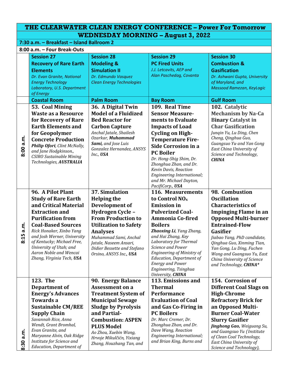## **THE CLEARWATER CLEAN ENERGY CONFERENCE – Power For Tomorrow WEDNESDAY MORNING – August 3, 2022**

**7:30 a.m. – Breakfast – Island Ballroom 2**

|           | 8:00 a.m. - Four Break-Outs                       |                                  |                                                               |                                                       |  |
|-----------|---------------------------------------------------|----------------------------------|---------------------------------------------------------------|-------------------------------------------------------|--|
|           | <b>Session 27</b>                                 | <b>Session 28</b>                | <b>Session 29</b>                                             | <b>Session 30</b>                                     |  |
|           | <b>Recovery of Rare Earth</b>                     | <b>Modeling &amp;</b>            | <b>PC Fired Units</b>                                         | <b>Combustion &amp;</b>                               |  |
|           | <b>Elements</b>                                   | <b>Simulation II</b>             | J.J. Letcavits, AEP and                                       | <b>Gasification</b>                                   |  |
|           | Dr. Evan Granite, National                        | Dr. Edmundo Vasquez              | Alan Paschedag, Covanta                                       | Dr. Ashwani Gupta, University                         |  |
|           | <b>Energy Technology</b>                          | <b>Clean Energy Technologies</b> |                                                               | of Maryland, and                                      |  |
|           | Laboratory, U.S. Department                       |                                  |                                                               | Massood Ramezan, KeyLogic                             |  |
|           | of Energy                                         |                                  |                                                               |                                                       |  |
|           | <b>Coastal Room</b>                               | <b>Palm Room</b>                 | <b>Bay Room</b>                                               | <b>Gulf Room</b>                                      |  |
|           | 53. Coal Mining                                   | 36. A Digital Twin               | 109. Real Time                                                | 102. Catalytic                                        |  |
|           | <b>Waste as a Resource</b>                        | <b>Model of a Fluidized</b>      | <b>Sensor Measure-</b>                                        | <b>Mechanism by Na-Ca</b>                             |  |
|           | for Recovery of Rare                              | <b>Bed Reactor for</b>           | ments to Evaluate                                             | <b>Binary Catalyst in</b>                             |  |
|           | <b>Earth Elements and</b>                         | <b>Carbon Capture</b>            | <b>Impacts of Load</b>                                        | <b>Char Gasification</b>                              |  |
|           | for Geopolymer                                    | Anchal Jatale, Shailesh          | <b>Cycling on High-</b>                                       | Jungin Yu, Lu Ding, Chen                              |  |
|           | <b>Concrete Production</b>                        | Ozarkar, Muhammad                | <b>Temperature Fire-</b>                                      | Cheng, Qinghua Guo,                                   |  |
| 8:00 a.m. | Philip Ofori, Clint McNally,                      | Sami, and Jose Luis              | <b>Side Corrosion in a</b>                                    | Guangsuo Yu and Yan Gong                              |  |
|           | and Jane Hodgkinson.,                             | Gonzalez Hernandez, ANSYS        | <b>PC Boiler</b>                                              | East China University of                              |  |
|           | CSIRO Sustainable Mining                          | Inc., USA                        | Dr. Hong-Shig Shim, Dr.                                       | Science and Technology,                               |  |
|           | Technologies, AUSTRALIA                           |                                  | Zhonghua Zhan, and Dr.                                        | <b>CHINA</b>                                          |  |
|           |                                                   |                                  | Kevin Davis, Reaction                                         |                                                       |  |
|           |                                                   |                                  | Engineering International;                                    |                                                       |  |
|           |                                                   |                                  | and Mr. Michael Dayton,                                       |                                                       |  |
|           |                                                   |                                  | PacifiCorp., USA                                              |                                                       |  |
|           | 96. A Pilot Plant                                 | <b>37. Simulation</b>            | 116. Measurements                                             | 98. Combustion                                        |  |
|           | <b>Study of Rare Earth</b>                        | <b>Helping the</b>               | to Control NO <sub>x</sub>                                    | <b>Oscillation</b>                                    |  |
|           | and Critical Material                             | Development of                   | <b>Emission</b> in                                            | <b>Characteristics of</b>                             |  |
|           | <b>Extraction and</b>                             | Hydrogen Cycle -                 | <b>Pulverized Coal-</b>                                       | <b>Impinging Flame in an</b>                          |  |
|           | <b>Purification from</b>                          | <b>From Production to</b>        | <b>Ammonia Co-fired</b>                                       | <b>Opposed Multi-burner</b>                           |  |
|           | <b>Coal-Based Sources</b>                         | <b>Utilization to Safety</b>     | <b>Boilers</b>                                                | <b>Entrained-Flow</b>                                 |  |
| 8:15 a.m. | Rick Honaker, Xinbo Yang                          | <b>Analyses</b>                  | Zhaoxing Li, Yang Zhang,                                      | Gasifier                                              |  |
|           | and Josh Werner, University                       | Muhammad Sami, Anchal            | and Hai Zhang, Key                                            | Jiabao Yang, PhD candidate,                           |  |
|           | of Kentucky; Michael Free,                        | Jatale, Naseem Ansari,           | Laboratory for Thermal                                        | Qinghua Guo, Xinming Tian,                            |  |
|           | University of Utah; and<br>Aaron Noble and Wencai | Didier Bessette and Stefano      | <b>Science and Power</b><br><b>Engineering of Ministry of</b> | Yan Gong, Lu Ding, Fuchen                             |  |
|           | Zhang, Virginia Tech, USA                         | Orsino, ANSYS Inc., USA          | <b>Education, Department of</b>                               | Wang and Guangsuo Yu, East                            |  |
|           |                                                   |                                  | <b>Energy and Power</b>                                       | China University of Science<br>and Technology, CHINA* |  |
|           |                                                   |                                  | Engineering, Tsinghua                                         |                                                       |  |
|           |                                                   |                                  | University, CHINA                                             |                                                       |  |
|           | 123. The                                          | 90. Energy Balance               | 113. Emissions and                                            | 154. Corrosion of                                     |  |
|           | Department of                                     | <b>Assessment on a</b>           | <b>Thermal</b>                                                | <b>Different Coal Slags on</b>                        |  |
|           | <b>Energy's Advances</b>                          | <b>Treatment System of</b>       | Performance                                                   | <b>High-Chrome</b>                                    |  |
|           | Towards a                                         | <b>Municipal Sewage</b>          | <b>Evaluation of Coal</b>                                     | <b>Refractory Brick for</b>                           |  |
|           | <b>Sustainable CM/REE</b>                         | <b>Sludge by Pyrolysis</b>       | and Gas Co-Firing in                                          | an Opposed Multi-                                     |  |
|           | <b>Supply Chain</b>                               | and Partial-                     | <b>PC Boilers</b>                                             | <b>Burner Coal-Water</b>                              |  |
|           | Savannah Rice, Anna                               | <b>Combustion: ASPEN</b>         | Dr. Marc Cremer, Dr.                                          | <b>Slurry Gasifier</b>                                |  |
|           | Wendt, Grant Bromhal,                             | <b>PLUS Model</b>                | Zhonghua Zhan, and Dr.                                        | Jinghong Gao, Weiguang Su,                            |  |
|           | Evan Granite, and                                 | Ao Zhou, Xuebin Wang,            | Dave Wang, Reaction                                           | and Guangsuo Yu (Institute                            |  |
| a.m.      | Maryanne Alvin, Oak Ridge                         | Hrvoje Mikulčićn, Yixiang        | Engineering International;                                    | of Clean Coal Technology,                             |  |
| 8:30      | Institute for Science and                         | Zhang, Houzhang Tan, and         | and Brian King, Burns and                                     | East China University of                              |  |
|           | <b>Education, Department of</b>                   |                                  |                                                               | Science and Technology),                              |  |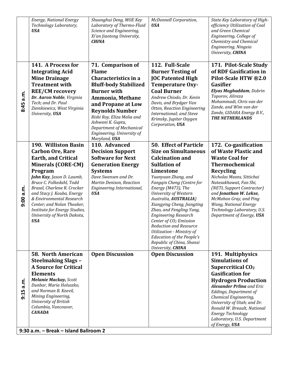| 9:15         | Mining Engineering,<br>University of British<br>Columbia, Vancouver,<br><b>CANADA</b><br>9:30 a.m. - Break - Island Ballroom 2                                                                                                                                                                                                                                                      |                                                                                                                                                                                                                                                                                                                   |                                                                                                                                                                                                                                                                                                                                                                                                                                                                                                                                    | Eddings, Department of<br>Chemical Engineering,<br>University of Utah; and Dr.<br>Ronald W. Breault, National<br>Energy Technology<br>Laboratory, U.S. Department<br>of Energy, USA                                                                                                                                                             |
|--------------|-------------------------------------------------------------------------------------------------------------------------------------------------------------------------------------------------------------------------------------------------------------------------------------------------------------------------------------------------------------------------------------|-------------------------------------------------------------------------------------------------------------------------------------------------------------------------------------------------------------------------------------------------------------------------------------------------------------------|------------------------------------------------------------------------------------------------------------------------------------------------------------------------------------------------------------------------------------------------------------------------------------------------------------------------------------------------------------------------------------------------------------------------------------------------------------------------------------------------------------------------------------|-------------------------------------------------------------------------------------------------------------------------------------------------------------------------------------------------------------------------------------------------------------------------------------------------------------------------------------------------|
| a.n.         | <b>58. North American</b><br><b>Steelmaking Slags -</b><br><b>A Source for Critical</b><br><b>Elements</b><br><b>Melanie Mackay, Scott</b><br>Dunbar, Maria Holuszko,<br>and Norman B. Keevil,                                                                                                                                                                                      | <b>Open Discussion</b>                                                                                                                                                                                                                                                                                            | <b>Open Discussion</b>                                                                                                                                                                                                                                                                                                                                                                                                                                                                                                             | 191. Multiphysics<br><b>Simulations of</b><br>Supercritical CO <sub>2</sub><br><b>Gasification for</b><br><b>Hydrogen Production</b><br><b>Alexander Prlina</b> and Eric                                                                                                                                                                        |
| a.m.<br>9:00 | 190. Williston Basin<br><b>Carbon Ore, Rare</b><br><b>Earth, and Critical</b><br><b>Minerals (CORE-CM)</b><br>Program<br>John Kay, Jason D. Laumb,<br>Bruce C. Folkedahl, Todd<br>Brasel, Charlene R. Crocker<br>and Stacy J. Kouba, Energy<br>& Environmental Research<br>Center; and Nolan Theaker,<br>Institute for Energy Studies,<br>University of North Dakota,<br><b>USA</b> | 110. Advanced<br><b>Decision Support</b><br><b>Software for Next</b><br><b>Generation Energy</b><br><b>Systems</b><br>Dave Swensen and Dr.<br>Martin Denison, Reaction<br>Engineering International,<br><b>USA</b>                                                                                                | <b>50. Effect of Particle</b><br><b>Size on Simultaneous</b><br><b>Calcination and</b><br><b>Sulfation of</b><br>Limestone<br>Yuanyuan Zhang, and<br>Fangqin Cheng (Centre for<br>Energy (M473), The<br>University of Western<br>Australia, AUSTRALIA)<br>Xiangying Cheng, Jiangting<br>Zhao, and Fengling Yang,<br><b>Engineering Research</b><br>Center of CO <sub>2</sub> Emission<br>Reduction and Resource<br>Utilization - Ministry of<br><b>Education of the People's</b><br>Republic of China, Shanxi<br>University, CHINA | 172. Co-gasification<br>of Waste Plastic and<br><b>Waste Coal for</b><br>Thermochemical<br><b>Recycling</b><br>Nicholas Means, Sittichai<br>Natesakhawat, Fan Shi,<br>(NETL Support Contractor)<br>and Jonathan W. Lekse,<br>McMahan Gray, and Ping<br><b>Wang, National Energy</b><br>Technology Laboratory, U.S.<br>Department of Energy, USA |
| a.m.<br>8:45 | 141. A Process for<br><b>Integrating Acid</b><br><b>Mine Drainage</b><br><b>Treatment with</b><br><b>REE/CM recovery</b><br>Dr. Aaron Noble, Virginia<br>Tech; and Dr. Paul<br>Ziemkiewicz, West Virginia<br>University, USA                                                                                                                                                        | 71. Comparison of<br><b>Flame</b><br>Characteristics in a<br><b>Bluff-body Stabilized</b><br><b>Burner</b> with<br>Ammonia, Methane<br>and Propane at Low<br><b>Reynolds Number</b><br>Rishi Roy, Eliza Melia and<br>Ashwani K. Gupta,<br>Department of Mechanical<br>Engineering, University of<br>Maryland, USA | 112. Full-Scale<br><b>Burner Testing of</b><br><b>JOC Patented High</b><br><b>Temperature Oxy-</b><br><b>Coal Burner</b><br>Andrew Chiodo, Dr. Kevin<br>Davis, and Brydger Van<br>Otten, Reaction Engineering<br>International; and Steve<br>Krimsky, Jupiter Oxygen<br>Corporation, USA                                                                                                                                                                                                                                           | 171. Pilot-Scale Study<br>of RDF Gasification in<br>Pilot-Scale HTW ®2.0<br>Gasifier<br>Elyas Moghaddam, Dobrin<br>Toporov, Alireza<br>Mohammadi, Chris van der<br>Zande, and Wim van der<br>Zande, GIDARA Energy B.V.,<br><b>THE NETHERLANDS</b>                                                                                               |
|              | <b>Energy, National Energy</b><br>Technology Laboratory,<br><b>USA</b>                                                                                                                                                                                                                                                                                                              | Shuanghui Deng, MOE Key<br>Laboratory of Thermo-Fluid<br>Science and Engineering,<br>Xi'an Jiaotong University,<br><b>CHINA</b>                                                                                                                                                                                   | <b>McDonnell Corporation,</b><br><b>USA</b>                                                                                                                                                                                                                                                                                                                                                                                                                                                                                        | State Key Laboratory of High-<br>efficiency Utilization of Coal<br>and Green Chemical<br>Engineering, College of<br>Chemistry and Chemical<br>Engineering, Ningxia<br>University, CHINA                                                                                                                                                         |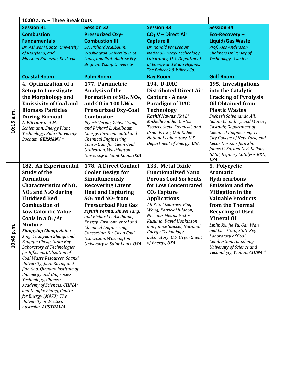|            | 10:00 a.m. - Three Break Outs                              |                                                       |                                                         |                                                        |
|------------|------------------------------------------------------------|-------------------------------------------------------|---------------------------------------------------------|--------------------------------------------------------|
|            | <b>Session 31</b>                                          | <b>Session 32</b>                                     | <b>Session 33</b>                                       | <b>Session 34</b>                                      |
|            | <b>Combustion</b>                                          | <b>Pressurized Oxy-</b>                               | CO <sub>2</sub> V - Direct Air                          | Eco-Recovery-                                          |
|            | <b>Fundamentals</b>                                        | <b>Combustion III</b>                                 | <b>Capture II</b>                                       | <b>Liquid/Gas Waste</b>                                |
|            | Dr. Ashwani Gupta, University                              | Dr. Richard Axelbaum,                                 | Dr. Ronald W/ Breault,                                  | Prof. Klas Andersson,                                  |
|            | of Maryland, and                                           | <b>Washington University in St.</b>                   | <b>National Energy Technology</b>                       | <b>Chalmers University of</b>                          |
|            | Massood Ramezan, KeyLogic                                  | Louis, and Prof. Andrew Fry,                          | Laboratory, U.S. Department                             | Technology, Sweden                                     |
|            |                                                            | <b>Brigham Young University</b>                       | of Energy and Brian Higgins,                            |                                                        |
|            |                                                            |                                                       | The Babcock & Wilcox Co.                                |                                                        |
|            | <b>Coastal Room</b>                                        | <b>Palm Room</b>                                      | <b>Bay Room</b>                                         | <b>Gulf Room</b>                                       |
|            | 4. Optimization of a                                       | 177. Parametric                                       | 194. D-DAC                                              | 195. Investigations                                    |
|            | <b>Setup to Investigate</b>                                | <b>Analysis of the</b>                                | <b>Distributed Direct Air</b>                           | into the Catalytic                                     |
|            | the Morphology and                                         | Formation of $SO_x$ , $NO_x$ ,                        | Capture - A new                                         | <b>Cracking of Pyrolysis</b>                           |
|            | <b>Emissivity of Coal and</b>                              | and CO in 100 kWth                                    | Paradigm of DAC                                         | <b>Oil Obtained from</b>                               |
|            | <b>Biomass Particles</b>                                   | <b>Pressurized Oxy-Coal</b>                           | <b>Technology</b>                                       | <b>Plastic Wastes</b>                                  |
| 10:15 a.m. | <b>During Burnout</b>                                      | <b>Combustor</b>                                      | Kashif Nawaz, Kai Li,                                   | Snehesh Shivananda Ail,                                |
|            | L. Pörtner and M.                                          | Piyush Verma, Zhiwei Yang,                            | Michelle Kidder, Costas<br>Tsouris, Steve Kowalski, and | Golam Chaudhry, and Marco J<br>Castaldi; Department of |
|            | Schiemann, Energy Plant<br>Technology, Ruhr-University     | and Richard L. Axelbaum,<br>Energy, Environmental and | Brian Fricke, Oak Ridge                                 | Chemical Engineering, The                              |
|            | Bochum, GERMANY*                                           | Chemical Engineering,                                 | National Laboratory, U.S.                               | City College of New York; and                          |
|            |                                                            | Consortium for Clean Coal                             | Department of Energy, USA                               | Lucas Dorazio, Jian Shi;                               |
|            |                                                            | Utilization, Washington                               |                                                         | James C. Fu, and C. P. Kelkar,                         |
|            |                                                            | University in Saint Louis, USA                        |                                                         | BASF, Refinery Catalysis R&D,<br><b>USA</b>            |
|            | 182. An Experimental                                       | <b>178. A Direct Contact</b>                          | 133. Metal Oxide                                        | 5. Polycyclic                                          |
|            | <b>Study of the</b>                                        | <b>Cooler Design for</b>                              | <b>Functionalized Nano</b>                              | Aromatic                                               |
|            | <b>Formation</b>                                           | Simultaneously                                        | <b>Porous Coal Sorbents</b>                             | <b>Hydrocarbons</b>                                    |
|            | <b>Characteristics of NO,</b>                              | <b>Recovering Latent</b>                              | for Low Concentrated                                    | <b>Emission and the</b>                                |
|            | $NO2$ and $N2O$ during                                     | <b>Heat and Capturing</b>                             | CO <sub>2</sub> Capture                                 | Mitigation in the                                      |
|            | <b>Fluidised Bed</b>                                       | $SO_x$ and $NO_x$ from                                | <b>Applications</b>                                     | <b>Valuable Products</b>                               |
|            | <b>Combustion of</b>                                       | <b>Pressurized Flue Gas</b>                           | Ali K. Sekizkardes, Ping                                | from the Thermal                                       |
|            | <b>Low Calorific Value</b>                                 | Piyush Verma, Zhiwei Yang,                            | Wang, Patrick Muldoon,                                  | <b>Recycling of Used</b>                               |
|            | Coals in a $O2/Ar$                                         | and Richard L. Axelbaum,                              | Nicholas Means, Victor                                  | <b>Mineral Oil</b>                                     |
|            | <b>Mixture</b>                                             | Energy, Environmental and                             | Kusuma, David Hopkinson<br>and Janice Steckel, National | Linlin Xu, Jie Yu, Gan Wan                             |
| 10:45 p.m  | Xiangying Cheng, Haibo                                     | Chemical Engineering,<br>Consortium for Clean Coal    | <b>Energy Technology</b>                                | and Lushi Sun, State Key                               |
|            | Xing, Yuanyuan Zhang, and                                  | Utilization, Washington                               | Laboratory, U.S. Department                             | Laboratory of Coal                                     |
|            | Fanggin Cheng, State Key                                   | University in Saint Louis, USA                        | of Energy, USA                                          | Combustion, Huazhong<br>University of Science and      |
|            | Laboratory of Technologies<br>for Efficient Utilization of |                                                       |                                                         | Technology, Wuhan, CHINA *                             |
|            | Coal Waste Resources, Shanxi                               |                                                       |                                                         |                                                        |
|            | University; Juan Zhang and                                 |                                                       |                                                         |                                                        |
|            | Jian Gao, Qingdao Institute of                             |                                                       |                                                         |                                                        |
|            | <b>Bioenergy and Bioprocess</b>                            |                                                       |                                                         |                                                        |
|            | Technology, Chinese<br>Academy of Sciences, CHINA;         |                                                       |                                                         |                                                        |
|            | and Dongke Zhang, Centre                                   |                                                       |                                                         |                                                        |
|            | for Energy (M473), The                                     |                                                       |                                                         |                                                        |
|            | University of Western                                      |                                                       |                                                         |                                                        |
|            | Australia, AUSTRALIA                                       |                                                       |                                                         |                                                        |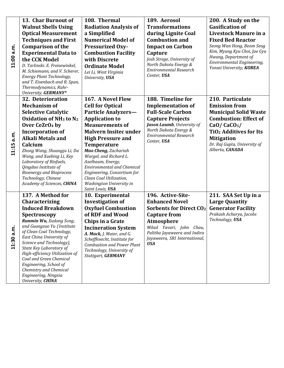| 11:00 a.m.    | 13. Char Burnout of<br><b>Walnut Shells Using</b><br><b>Optical Measurement</b><br><b>Techniques and First</b><br><b>Comparison of the</b><br><b>Experimental Data to</b><br>the CCK Model<br>D. Tarlinski. E. Freisewinkel,                                                                                                                                                                                                         | 108. Thermal<br><b>Radiation Analysis of</b><br>a Simplified<br><b>Numerical Model of</b><br><b>Pressurized Oxy-</b><br><b>Combustion Facility</b><br>with Discrete<br><b>Ordinate Model</b>                                                                                                                                                                                                                                   | 189. Aerosol<br><b>Transformations</b><br>during Lignite Coal<br><b>Combustion and</b><br><b>Impact on Carbon</b><br>Capture<br>Josh Strege, University of<br>North Dakota Energy &                                                 | 200. A Study on the<br><b>Gasification of</b><br>Livestock Manure in a<br><b>Fixed Bed Reactor</b><br>Seong Wan Hong, Beom Seog<br>Kim, Myung Kyu Choi, Jae Gyu<br>Hwang, Department of<br>Environmental Engineering,<br>Yonsei University, KOREA       |
|---------------|--------------------------------------------------------------------------------------------------------------------------------------------------------------------------------------------------------------------------------------------------------------------------------------------------------------------------------------------------------------------------------------------------------------------------------------|--------------------------------------------------------------------------------------------------------------------------------------------------------------------------------------------------------------------------------------------------------------------------------------------------------------------------------------------------------------------------------------------------------------------------------|-------------------------------------------------------------------------------------------------------------------------------------------------------------------------------------------------------------------------------------|---------------------------------------------------------------------------------------------------------------------------------------------------------------------------------------------------------------------------------------------------------|
|               | M. Schiemann, and V. Scherer,<br>Energy Plant Technology,<br>and T. Eisenbach and R. Span,<br>Thermodynamics, Ruhr-<br>University, GERMANY*                                                                                                                                                                                                                                                                                          | Lei Li, West Virginia<br>University, USA                                                                                                                                                                                                                                                                                                                                                                                       | <b>Environmental Research</b><br>Center, USA                                                                                                                                                                                        |                                                                                                                                                                                                                                                         |
| a.m.<br>11:15 | 32. Deterioration<br><b>Mechanism of</b><br><b>Selective Catalytic</b><br><b>Oxidation of NH<sub>3</sub> to N<sub>2</sub></b><br>Over CeZrO <sub>4</sub> by<br><b>Incorporation of</b><br><b>Alkali Metals and</b><br>Calcium<br>Zhong Wang, Shuangju Li, Da<br>Wang, and Xuebing Li, Key<br>Laboratory of Biofuels,<br>Qingdao Institute of<br><b>Bioenergy and Bioprocess</b><br>Technology, Chinese<br>Academy of Sciences, CHINA | 167. A Novel Flow<br><b>Cell for Optical</b><br><b>Particle Analyzers-</b><br><b>Application to</b><br><b>Measurements of</b><br><b>Malvern Insitec under</b><br><b>High Pressure and</b><br>Temperature<br>Mao Cheng, Zachariah<br>Wargel, and Richard L.<br>Axelbaum, Energy,<br><b>Environmental and Chemical</b><br>Engineering, Consortium for<br>Clean Coal Utilization,<br>Washington University in<br>Saint Louis, USA | 188. Timeline for<br><b>Implementation of</b><br><b>Full-Scale Carbon</b><br><b>Capture Projects</b><br><b>Jason Laumb</b> , University of<br>North Dakota Energy &<br><b>Environmental Research</b><br>Center, USA                 | 210. Particulate<br><b>Emission from</b><br><b>Municipal Solid Waste</b><br><b>Combustion: Effect of</b><br>CaO/CaCO <sub>3</sub> /<br><b>TiO<sub>2</sub> Additives for Its</b><br><b>Mitigation</b><br>Dr. Raj Gupta, University of<br>Alberta, CANADA |
| 11:30 a.m.    | 137. A Method for<br>Characterizing<br><b>Induced Breakdown</b><br>Spectroscopy<br>Runmin Wu, Xudong Song,<br>and Guangsuo Yu (Institute<br>of Clean Coal Technology,<br>East China University of<br>Science and Technology),<br>State Key Laboratory of<br>High-efficiency Utilization of<br>Coal and Green Chemical<br>Engineering, School of<br>Chemistry and Chemical<br>Engineering, Ningxia<br>University, CHINA               | 10. Experimental<br><b>Investigation of</b><br><b>Oxyfuel Combustion</b><br>of RDF and Wood<br><b>Chips in a Grate</b><br><b>Incineration System</b><br>A. Mack, J. Maier, and G.<br>Scheffknecht, Institute for<br><b>Combustion and Power Plant</b><br>Technology, University of<br><b>Stuttgart, GERMANY</b>                                                                                                                | 196. Active-Site-<br><b>Enhanced Novel</b><br><b>Sorbents for Direct CO2</b><br><b>Capture from</b><br><b>Atmosphere</b><br>Milad Yavari, John Chau,<br>Palitha Jayaweera and Indira<br>Jayaweera, SRI International,<br><b>USA</b> | 211. SAA Set Up in a<br><b>Large Quantity</b><br><b>Generator Facility</b><br>Prakash Acharya, Jacobs<br>Technology, USA                                                                                                                                |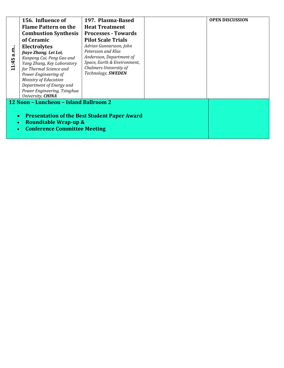|                                                                  | 156. Influence of                               | 197. Plasma-Based                                            |  | <b>OPEN DISCUSSION</b> |
|------------------------------------------------------------------|-------------------------------------------------|--------------------------------------------------------------|--|------------------------|
|                                                                  | <b>Flame Pattern on the</b>                     | <b>Heat Treatment</b>                                        |  |                        |
|                                                                  | <b>Combustion Synthesis</b>                     | <b>Processes - Towards</b>                                   |  |                        |
|                                                                  | of Ceramic                                      | <b>Pilot Scale Trials</b>                                    |  |                        |
|                                                                  | <b>Electrolytes</b>                             | Adrian Gunnarsson, John                                      |  |                        |
| a.m.                                                             | Jiaye Zhang, Lei Lei,                           | Petersson and Klas                                           |  |                        |
|                                                                  | Kunpeng Cai, Peng Gao and                       | Andersson, Department of                                     |  |                        |
| 11:45                                                            | Yang Zhang, Key Laboratory                      | Space, Earth & Environment,<br><b>Chalmers University of</b> |  |                        |
|                                                                  | for Thermal Science and<br>Power Engineering of | Technology, SWEDEN                                           |  |                        |
|                                                                  | Ministry of Education                           |                                                              |  |                        |
|                                                                  | Department of Energy and                        |                                                              |  |                        |
|                                                                  | Power Engineering, Tsinghua                     |                                                              |  |                        |
|                                                                  | University, <b>CHINA</b>                        |                                                              |  |                        |
|                                                                  | 12 Noon - Luncheon - Island Ballroom 2          |                                                              |  |                        |
|                                                                  |                                                 |                                                              |  |                        |
| <b>Presentation of the Best Student Paper Award</b><br>$\bullet$ |                                                 |                                                              |  |                        |
|                                                                  | <b>Roundtable Wrap-up &amp;</b><br>$\bullet$    |                                                              |  |                        |
|                                                                  | <b>Conference Committee Meeting</b>             |                                                              |  |                        |
|                                                                  |                                                 |                                                              |  |                        |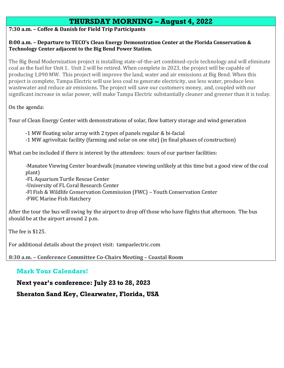## **THURSDAY MORNING – August 4, 2022**

### **7:30 a.m. – Coffee & Danish for Field Trip Participants**

#### **8:00 a.m. – Departure to TECO's Clean Energy Demonstration Center at the Florida Conservation & Technology Center adjacent to the Big Bend Power Station.**

The Big Bend Modernization project is installing state-of-the-art combined-cycle technology and will eliminate coal as the fuel for Unit 1. Unit 2 will be retired. When complete in 2023, the project will be capable of producing 1,090 MW. This project will improve the land, water and air emissions at Big Bend. When this project is complete, Tampa Electric will use less coal to generate electricity, use less water, produce less wastewater and reduce air emissions. The project will save our customers money, and, coupled with our significant increase in solar power, will make Tampa Electric substantially cleaner and greener than it is today.

On the agenda:

Tour of Clean Energy Center with demonstrations of solar, flow battery storage and wind generation

- -1 MW floating solar array with 2 types of panels regular & bi-facial
- -1 MW agrivoltaic facility (farming and solar on one site) (in final phases of construction)

What can be included if there is interest by the attendees: tours of our partner facilities:

-Manatee Viewing Center boardwalk (manatee viewing unlikely at this time but a good view of the coal plant) -FL Aquarium Turtle Rescue Center

-University of FL Coral Research Center

-Fl Fish & Wildlife Conservation Commission (FWC) – Youth Conservation Center

-FWC Marine Fish Hatchery

After the tour the bus will swing by the airport to drop off those who have flights that afternoon. The bus should be at the airport around 2 p.m.

The fee is \$125.

For additional details about the project visit: tampaelectric.com

**8:30 a.m. – Conference Committee Co-Chairs Meeting – Coastal Room**

## **Mark Your Calendars!**

**Next year's conference: July 23 to 28, 2023**

**Sheraton Sand Key, Clearwater, Florida, USA**